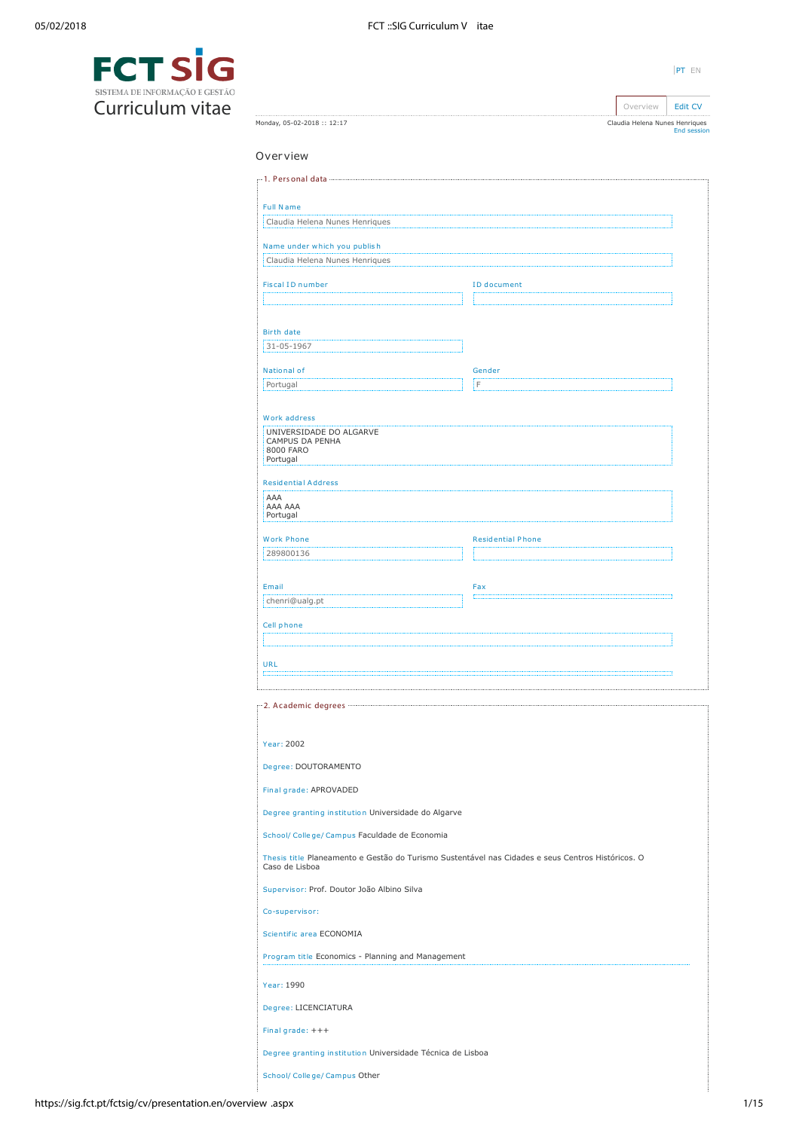| ۰ |  |  |
|---|--|--|
|   |  |  |

Overview | [Edit CV](https://sig.fct.pt/fctsig/cv/presentation.en/editCV.aspx) Claudia Helena Nunes Henriques [End session](https://sig.fct.pt/fctsig/cv/scripts/logout.aspx)



Monday, 05-02-2018 :: 12:17

| <b>Full Name</b>                                                                                                                                                                                                                                                                                                                                                |                                                                                                   |  |
|-----------------------------------------------------------------------------------------------------------------------------------------------------------------------------------------------------------------------------------------------------------------------------------------------------------------------------------------------------------------|---------------------------------------------------------------------------------------------------|--|
| Claudia Helena Nunes Henriques                                                                                                                                                                                                                                                                                                                                  |                                                                                                   |  |
| Name under which you publish                                                                                                                                                                                                                                                                                                                                    |                                                                                                   |  |
| Claudia Helena Nunes Henriques                                                                                                                                                                                                                                                                                                                                  |                                                                                                   |  |
|                                                                                                                                                                                                                                                                                                                                                                 |                                                                                                   |  |
| Fiscal ID number                                                                                                                                                                                                                                                                                                                                                | ID document                                                                                       |  |
|                                                                                                                                                                                                                                                                                                                                                                 |                                                                                                   |  |
| <b>Birth date</b>                                                                                                                                                                                                                                                                                                                                               |                                                                                                   |  |
| 31-05-1967                                                                                                                                                                                                                                                                                                                                                      |                                                                                                   |  |
| National of                                                                                                                                                                                                                                                                                                                                                     | Gender                                                                                            |  |
| Portugal                                                                                                                                                                                                                                                                                                                                                        | İΕ                                                                                                |  |
|                                                                                                                                                                                                                                                                                                                                                                 |                                                                                                   |  |
| Work address<br>UNIVERSIDADE DO ALGARVE                                                                                                                                                                                                                                                                                                                         |                                                                                                   |  |
| CAMPUS DA PENHA<br>8000 FARO                                                                                                                                                                                                                                                                                                                                    |                                                                                                   |  |
| Portugal                                                                                                                                                                                                                                                                                                                                                        |                                                                                                   |  |
| <b>Residential Address</b>                                                                                                                                                                                                                                                                                                                                      |                                                                                                   |  |
| AAA<br>AAA AAA                                                                                                                                                                                                                                                                                                                                                  |                                                                                                   |  |
| Portugal                                                                                                                                                                                                                                                                                                                                                        |                                                                                                   |  |
| <b>Work Phone</b>                                                                                                                                                                                                                                                                                                                                               | <b>Residential Phone</b>                                                                          |  |
| 289800136                                                                                                                                                                                                                                                                                                                                                       |                                                                                                   |  |
|                                                                                                                                                                                                                                                                                                                                                                 |                                                                                                   |  |
| Email                                                                                                                                                                                                                                                                                                                                                           | Fax                                                                                               |  |
| chenri@ualg.pt                                                                                                                                                                                                                                                                                                                                                  |                                                                                                   |  |
| Cell phone                                                                                                                                                                                                                                                                                                                                                      |                                                                                                   |  |
|                                                                                                                                                                                                                                                                                                                                                                 |                                                                                                   |  |
| <b>URL</b>                                                                                                                                                                                                                                                                                                                                                      | ۰                                                                                                 |  |
|                                                                                                                                                                                                                                                                                                                                                                 |                                                                                                   |  |
| r"2. Academic degrees ""                                                                                                                                                                                                                                                                                                                                        |                                                                                                   |  |
|                                                                                                                                                                                                                                                                                                                                                                 |                                                                                                   |  |
| Year: 2002                                                                                                                                                                                                                                                                                                                                                      |                                                                                                   |  |
|                                                                                                                                                                                                                                                                                                                                                                 |                                                                                                   |  |
|                                                                                                                                                                                                                                                                                                                                                                 |                                                                                                   |  |
|                                                                                                                                                                                                                                                                                                                                                                 |                                                                                                   |  |
|                                                                                                                                                                                                                                                                                                                                                                 |                                                                                                   |  |
|                                                                                                                                                                                                                                                                                                                                                                 |                                                                                                   |  |
|                                                                                                                                                                                                                                                                                                                                                                 |                                                                                                   |  |
|                                                                                                                                                                                                                                                                                                                                                                 | Thesis title Planeamento e Gestão do Turismo Sustentável nas Cidades e seus Centros Históricos. O |  |
|                                                                                                                                                                                                                                                                                                                                                                 |                                                                                                   |  |
|                                                                                                                                                                                                                                                                                                                                                                 |                                                                                                   |  |
|                                                                                                                                                                                                                                                                                                                                                                 |                                                                                                   |  |
|                                                                                                                                                                                                                                                                                                                                                                 |                                                                                                   |  |
|                                                                                                                                                                                                                                                                                                                                                                 |                                                                                                   |  |
|                                                                                                                                                                                                                                                                                                                                                                 |                                                                                                   |  |
|                                                                                                                                                                                                                                                                                                                                                                 |                                                                                                   |  |
| Degree: DOUTORAMENTO<br>Final grade: APROVADED<br>Degree granting institution Universidade do Algarve<br>School/ College/ Campus Faculdade de Economia<br>Caso de Lisboa<br>Supervisor: Prof. Doutor João Albino Silva<br>Co-supervisor:<br>Scientific area ECONOMIA<br>Program title Economics - Planning and Management<br>Year: 1990<br>Degree: LICENCIATURA |                                                                                                   |  |
| Final grade: +++<br>Degree granting institution Universidade Técnica de Lisboa                                                                                                                                                                                                                                                                                  |                                                                                                   |  |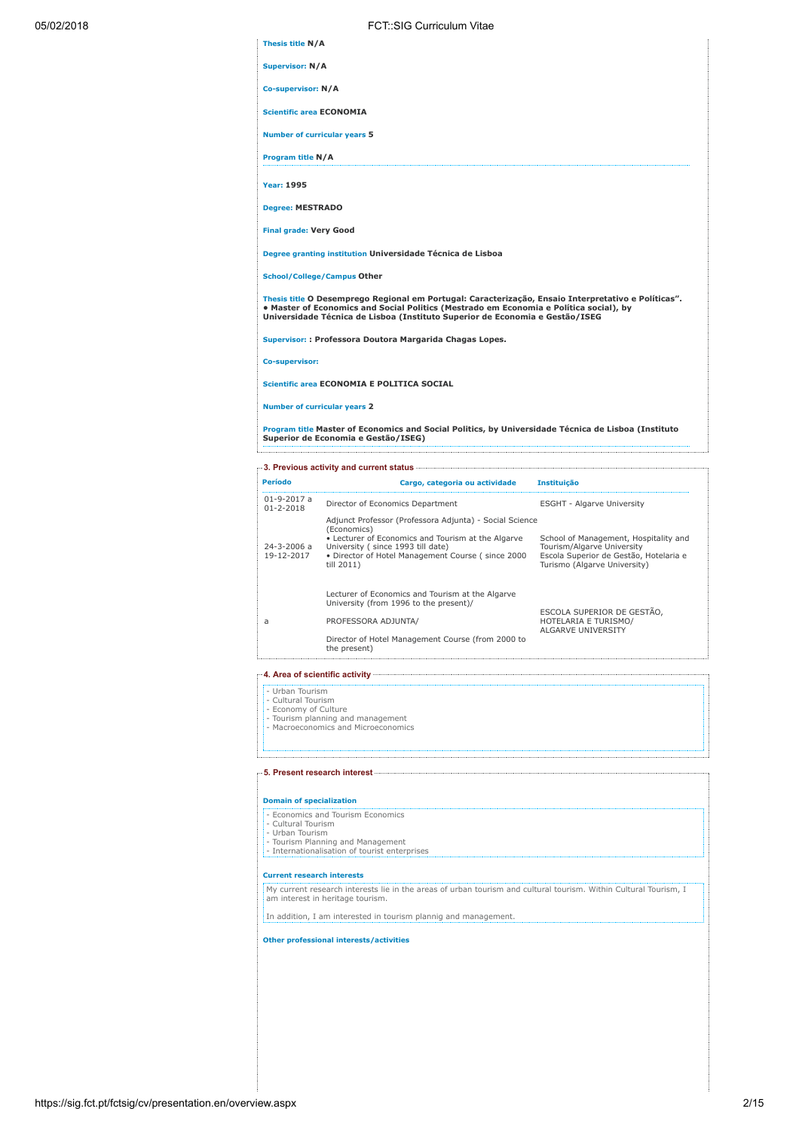| Thesis title N/A                |                                                                                                                                                                                                                                                                               |                                   |
|---------------------------------|-------------------------------------------------------------------------------------------------------------------------------------------------------------------------------------------------------------------------------------------------------------------------------|-----------------------------------|
| <b>Supervisor: N/A</b>          |                                                                                                                                                                                                                                                                               |                                   |
| Co-supervisor: N/A              |                                                                                                                                                                                                                                                                               |                                   |
| <b>Scientific area ECONOMIA</b> |                                                                                                                                                                                                                                                                               |                                   |
|                                 | Number of curricular years 5                                                                                                                                                                                                                                                  |                                   |
| Program title N/A               |                                                                                                                                                                                                                                                                               |                                   |
| <b>Year: 1995</b>               |                                                                                                                                                                                                                                                                               |                                   |
| <b>Degree: MESTRADO</b>         |                                                                                                                                                                                                                                                                               |                                   |
| <b>Final grade: Very Good</b>   |                                                                                                                                                                                                                                                                               |                                   |
|                                 | Degree granting institution Universidade Técnica de Lisboa                                                                                                                                                                                                                    |                                   |
|                                 | <b>School/College/Campus Other</b>                                                                                                                                                                                                                                            |                                   |
|                                 | Thesis title O Desemprego Regional em Portugal: Caracterização, Ensaio Interpretativo e Políticas".<br>• Master of Economics and Social Politics (Mestrado em Economia e Política social), by<br>Universidade Técnica de Lisboa (Instituto Superior de Economia e Gestão/ISEG |                                   |
|                                 | Supervisor:: Professora Doutora Margarida Chagas Lopes.                                                                                                                                                                                                                       |                                   |
| Co-supervisor:                  |                                                                                                                                                                                                                                                                               |                                   |
|                                 | Scientific area ECONOMIA E POLITICA SOCIAL                                                                                                                                                                                                                                    |                                   |
|                                 | <b>Number of curricular years 2</b>                                                                                                                                                                                                                                           |                                   |
|                                 | Program title Master of Economics and Social Politics, by Universidade Técnica de Lisboa (Instituto<br>Superior de Economia e Gestão/ISEG)                                                                                                                                    |                                   |
|                                 |                                                                                                                                                                                                                                                                               |                                   |
| <b>Período</b>                  | Cargo, categoria ou actividade                                                                                                                                                                                                                                                | Instituicão                       |
| 01-9-2017 a<br>$01 - 2 - 2019$  | Director of Economics Department                                                                                                                                                                                                                                              | <b>ESGHT - Algarve University</b> |

| $01 - 9 - 2017$ a<br>$01 - 2 - 2018$ | Director of Economics Department                                                                                                                                                                                                     | <b>ESGHT - Algarve University</b>                                                                                                             |
|--------------------------------------|--------------------------------------------------------------------------------------------------------------------------------------------------------------------------------------------------------------------------------------|-----------------------------------------------------------------------------------------------------------------------------------------------|
| 24-3-2006 a<br>19-12-2017            | Adjunct Professor (Professora Adjunta) - Social Science<br>(Economics)<br>• Lecturer of Economics and Tourism at the Algarve<br>University (since 1993 till date)<br>. Director of Hotel Management Course (since 2000<br>till 2011) | School of Management, Hospitality and<br>Tourism/Algarve University<br>Escola Superior de Gestão, Hotelaria e<br>Turismo (Algarve University) |
| a                                    | Lecturer of Economics and Tourism at the Algarve<br>University (from 1996 to the present)/<br>PROFESSORA ADJUNTA/<br>Director of Hotel Management Course (from 2000 to<br>the present)                                               | ESCOLA SUPERIOR DE GESTÃO.<br>HOTELARIA E TURISMO/<br>ALGARVE UNIVERSITY                                                                      |

4. Area of scientific activity

Ł.

- Urban Tourism - Cultural Tourism - Economy of Culture - Tourism planning and management - Macroeconomics and Microeconomics

5. Present research interest

Domain of specialization

- Economics and Tourism Economics

- Cultural Tourism - Urban Tourism

- Tourism Planning and Management - Internationalisation of tourist enterprises

# Current research interests

My current research interests lie in the areas of urban tourism and cultural tourism. Within Cultural Tourism, I am interest in heritage tourism.

In addition, I am interested in tourism plannig and management.

### Other professional interests/activities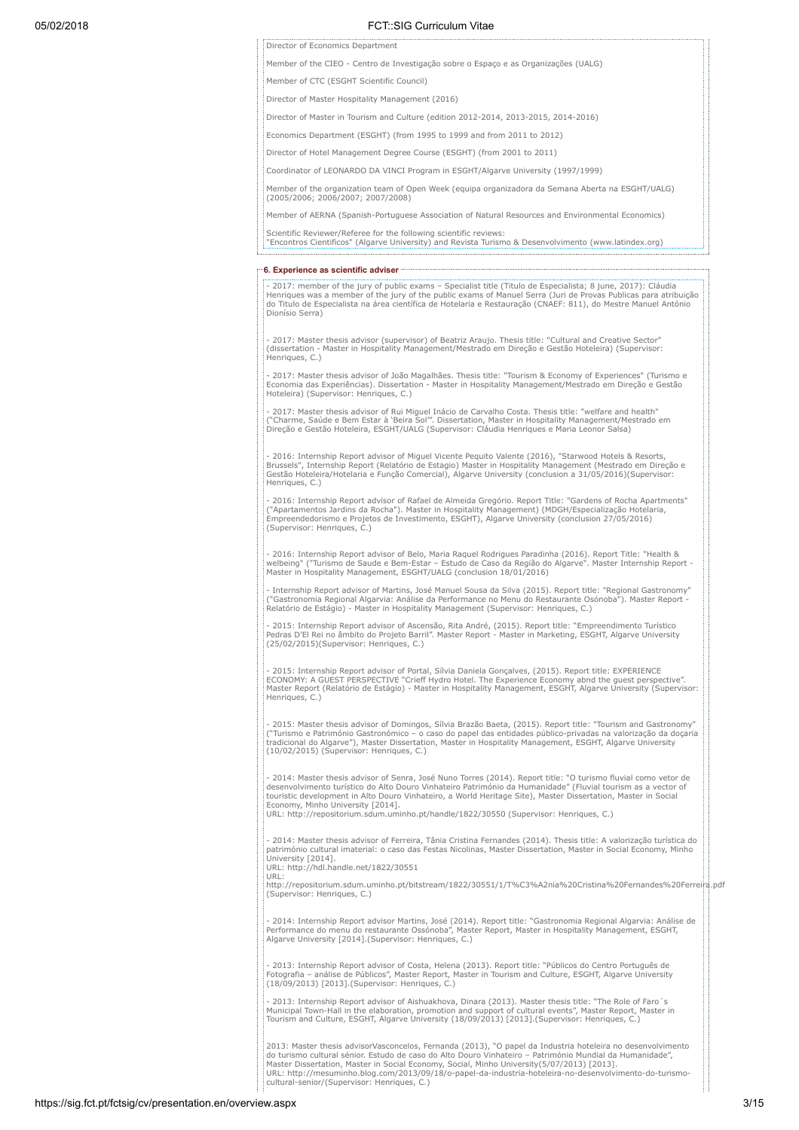Director of Economics Department

Member of the CIEO - Centro de Investigação sobre o Espaço e as Organizações (UALG)

Member of CTC (ESGHT Scientific Council)

Director of Master Hospitality Management (2016)

Director of Master in Tourism and Culture (edition 2012-2014, 2013-2015, 2014-2016)

Economics Department (ESGHT) (from 1995 to 1999 and from 2011 to 2012)

Director of Hotel Management Degree Course (ESGHT) (from 2001 to 2011)

Coordinator of LEONARDO DA VINCI Program in ESGHT/Algarve University (1997/1999)

Member of the organization team of Open Week (equipa organizadora da Semana Aberta na ESGHT/UALG) (2005/2006; 2006/2007; 2007/2008)

Member of AERNA (Spanish-Portuguese Association of Natural Resources and Environmental Economics)

Scientific Reviewer/Referee for the following scientific reviews:

"Encontros Cientificos" (Algarve University) and Revista Turismo & Desenvolvimento (www.latindex.org)

6. Experience as scientific adviser

- 2017: member of the jury of public exams – Specialist title (Titulo de Especialista; 8 june, 2017): Cláudia<br>Henriques was a member of the jury of the public exams of Manuel Serra (Juri de Provas Publicas para atribuição<br> Dionísio Serra)

- 2017: Master thesis advisor (supervisor) of Beatriz Araujo. Thesis title: "Cultural and Creative Sector" (dissertation - Master in Hospitality Management/Mestrado em Direção e Gestão Hoteleira) (Supervisor: Henriques, C.)

- 2017: Master thesis advisor of João Magalhães. Thesis title: "Tourism & Economy of Experiences" (Turismo e Economia das Experiências). Dissertation - Master in Hospitality Management/Mestrado em Direção e Gestão Hoteleira) (Supervisor: Henriques, C.)

- 2017: Master thesis advisor of Rui Miguel Inácio de Carvalho Costa. Thesis title: "welfare and health"<br>("Charme, Saúde e Bem Estar à 'Beira Sol". Dissertation, Master in Hospitality Management/Mestrado em<br>Direção e Gestã

- 2016: Internship Report advisor of Miguel Vicente Pequito Valente (2016), "Starwood Hotels & Resorts, Brussels", Internship Report (Relatório de Estagio) Master in Hospitality Management (Mestrado em Direção e Gestão Hoteleira/Hotelaria e Função Comercial), Algarve University (conclusion a 31/05/2016)(Supervisor: Henriques, C.)

- 2016: Internship Report advisor of Rafael de Almeida Gregório. Report Title: "Gardens of Rocha Apartments" ("Apartamentos Jardins da Rocha"). Master in Hospitality Management) (MDGH/Especialização Hotelaria, Empreendedorismo e Projetos de Investimento, ESGHT), Algarve University (conclusion 27/05/2016) (Supervisor: Henriques, C.)

- 2016: Internship Report advisor of Belo, Maria Raquel Rodrigues Paradinha (2016). Report Title: "Health &<br>welbeing" ("Turismo de Saude e Bem-Estar – Estudo de Caso da Região do Algarve". Master Internship Report -<br>Master

- Internship Report advisor of Martins, José Manuel Sousa da Silva (2015). Report title: "Regional Gastronomy" ("Gastronomia Regional Algarvia: Análise da Performance no Menu do Restaurante Osónoba"). Master Report - Relatório de Estágio) - Master in Hospitality Management (Supervisor: Henriques, C.)

- 2015: Internship Report advisor of Ascensão, Rita André, (2015). Report title: "Empreendimento Turístico<br>Pedras D'El Rei no âmbito do Projeto Barri!". Master Report - Master in Marketing, ESGHT, Algarve University<br>(25/02

- 2015: Internship Report advisor of Portal, Sílvia Daniela Gonçalves, (2015). Report title: EXPERIENCE<br>ECONOMY: A GUEST PERSPECTIVE "Crieff Hydro Hotel. The Experience Economy abnd the guest perspective".<br>Master Report (R Henriques, C.)

- 2015: Master thesis advisor of Domingos, Sílvia Brazão Baeta, (2015). Report title: "Tourism and Gastronomy" ("Turismo e Património Gastronómico – o caso do papel das entidades público-privadas na valorização da doçaria<br>tradicional do Algarve"), Master Dissertation, Master in Hospitality Management, ESGHT, Algarve University<br>(10/

- 2014: Master thesis advisor of Senra, José Nuno Torres (2014). Report title: "O turismo fluvial como vetor de desenvolvimento turístico do Alto Douro Vinhateiro Património da Humanidade" (Fluvial tourism as a vector of touristic development in Alto Douro Vinhateiro, a World Heritage Site), Master Dissertation, Master in Social Economy, Minho University [2014]. URL: http://repositorium.sdum.uminho.pt/handle/1822/30550 (Supervisor: Henriques, C.)

- 2014: Master thesis advisor of Ferreira, Tânia Cristina Fernandes (2014). Thesis title: A valorização turística do património cultural imaterial: o caso das Festas Nicolinas, Master Dissertation, Master in Social Economy, Minho University [2014].

URL: http://hdl.handle.net/1822/30551 URL:

http://repositorium.sdum.uminho.pt/bitstream/1822/30551/1/T%C3%A2nia%20Cristina%20Fernandes%20Ferreira.pdf (Supervisor: Henriques, C.)

- 2014: Internship Report advisor Martins, José (2014). Report title: "Gastronomia Regional Algarvia: Análise de<br>Performance do menu do restaurante Ossónoba", Master Report, Master in Hospitality Management, ESGHT,<br>Algarve

- 2013: Internship Report advisor of Costa, Helena (2013). Report title: "Públicos do Centro Português de<br>Fotografia – análise de Públicos", Master Report, Master in Tourism and Culture, ESGHT, Algarve University<br>(18/09/20

- 2013: Internship Report advisor of Aishuakhova, Dinara (2013). Master thesis title: "The Role of Faro´s<br>Municipal Town-Hall in the elaboration, promotion and support of cultural events", Master Report, Master in<br>Tourism

2013: Master thesis advisorVasconcelos, Fernanda (2013), "O papel da Industria hoteleira no desenvolvimento<br>do turismo cultural sénior. Estudo de caso do Alto Douro Vinhateiro – Património Mundial da Humanidade",<br>Master Di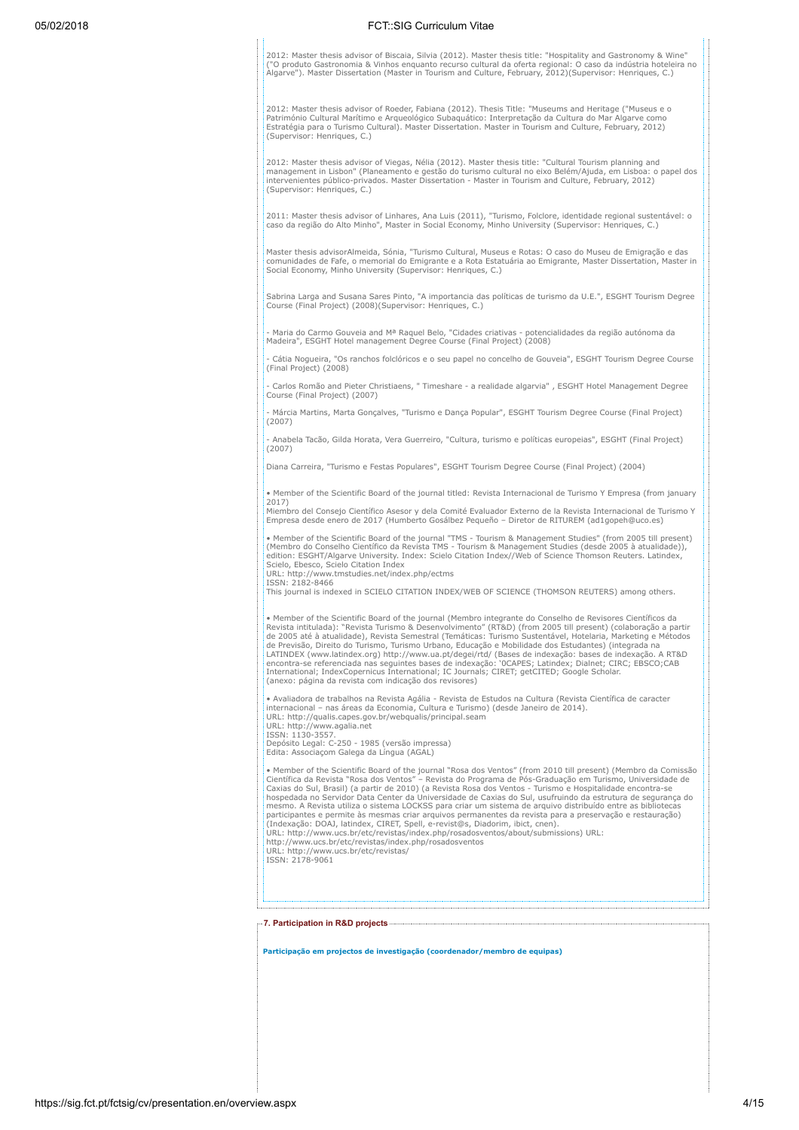05/02/2018 FCT::SIG Curriculum Vitae 2012: Master thesis advisor of Biscaia, Silvia (2012). Master thesis title: "Hospitality and Gastronomy & Wine" ("O produto Gastronomia & Vinhos enquanto recurso cultural da oferta regional: O caso da indústria hoteleira no Algarve"). Master Dissertation (Master in Tourism and Culture, February, 2012)(Supervisor: Henriques, C.) 2012: Master thesis advisor of Roeder, Fabiana (2012). Thesis Title: "Museums and Heritage ("Museus e o Património Cultural Marítimo e Arqueológico Subaquático: Interpretação da Cultura do Mar Algarve como<br>Estratégia para o Turismo Cultural). Master Dissertation. Master in Tourism and Culture, February, 2012)<br>(Supervisor: He 2012: Master thesis advisor of Viegas, Nélia (2012). Master thesis title: "Cultural Tourism planning and management in Lisbon" (Planeamento e gestão do turismo cultural no eixo Belém/Ajuda, em Lisboa: o papel dos<br>intervenientes público-privados. Master Dissertation - Master in Tourism and Culture, February, 2012)<br>(Supervisor: 2011: Master thesis advisor of Linhares, Ana Luis (2011), "Turismo, Folclore, identidade regional sustentável: o caso da região do Alto Minho", Master in Social Economy, Minho University (Supervisor: Henriques, C.) Master thesis advisorAlmeida, Sónia, "Turismo Cultural, Museus e Rotas: O caso do Museu de Emigração e das comunidades de Fafe, o memorial do Emigrante e a Rota Estatuária ao Emigrante, Master Dissertation, Master in Social Economy, Minho University (Supervisor: Henriques, C.) Sabrina Larga and Susana Sares Pinto, "A importancia das políticas de turismo da U.E.", ESGHT Tourism Degree Course (Final Project) (2008)(Supervisor: Henriques, C.) Maria do Carmo Gouveia and Mª Raquel Belo, "Cidades criativas - potencialidades da região autónoma da Madeira", ESGHT Hotel management Degree Course (Final Project) (2008) - Cátia Nogueira, "Os ranchos folclóricos e o seu papel no concelho de Gouveia", ESGHT Tourism Degree Course (Final Project) (2008) - Carlos Romão and Pieter Christiaens, " Timeshare - a realidade algarvia" , ESGHT Hotel Management Degree Course (Final Project) (2007) - Márcia Martins, Marta Gonçalves, "Turismo e Dança Popular", ESGHT Tourism Degree Course (Final Project) (2007) - Anabela Tacão, Gilda Horata, Vera Guerreiro, "Cultura, turismo e políticas europeias", ESGHT (Final Project)  $(2007)$ .<br>Diana Carreira, "Turismo e Festas Populares", ESGHT Tourism Degree Course (Final Project) (2004). • Member of the Scientific Board of the journal titled: Revista Internacional de Turismo Y Empresa (from january 2017) Miembro del Consejo Científico Asesor y dela Comité Evaluador Externo de la Revista Internacional de Turismo Y Empresa desde enero de 2017 (Humberto Gosálbez Pequeño – Diretor de RITUREM (ad1gopeh@uco.es) • Member of the Scientific Board of the journal "TMS - Tourism & Management Studies" (from 2005 till present)<br>(Membro do Conselho Científico da Revista TMS - Tourism & Management Studies (desde 2005 à atualidade)),<br>edition Scielo, Ebesco, Scielo Citation Index URL: http://www.tmstudies.net/index.php/ectms ISSN: 2182-8466 This journal is indexed in SCIELO CITATION INDEX/WEB OF SCIENCE (THOMSON REUTERS) among others. • Member of the Scientific Board of the journal (Membro integrante do Conselho de Revisores Científicos da<br>Revista intitulada): "Revista Turismo & Desenvolvimento" (RT&D) (from 2005 till present) (colaboração a partir<br>de 2 LATINDEX (www.latindex.org) http://www.ua.pt/degei/rtd/ (Bases de indexação: bases de indexação. A RT&D<br>encontra-se referenciada nas seguintes bases de indexação: '0CAPES; Latindex; Dialnet; CIRC; EBSCO;CAB<br>International; • Avaliadora de trabalhos na Revista Agália - Revista de Estudos na Cultura (Revista Científica de caracter<br>internacional – nas áreas da Economia, Cultura e Turismo) (desde Janeiro de 2014).<br>URL: http://qualis.capes.gov.br URL: http://www.agalia.net ISSN: 1130-3557. Depósito Legal: C-250 - 1985 (versão impressa) Edita: Associaçom Galega da Língua (AGAL) • Member of the Scientific Board of the journal "Rosa dos Ventos" (from 2010 till present) (Membro da Comissão<br>Científica da Revista "Rosa dos Ventos" – Revista do Programa de Pós-Graduação em Turismo, Universidade de<br>Caxi hospedada no Servidor Data Center da Universidade de Caxias do Sul, usufruindo da estrutura de segurança do<br>mesmo. A Revista utiliza o sistema LOCKSS para criar um sistema de arquivo distribuído entre as bibliotecas participantes e permite às mesmas criar arquivos permanentes da revista para a preservação e restauração)<br>(Indexação: DOAJ, latindex, CIRET, Spell, e-revist@s, Diadorim, ibict, cnen).<br>URL: http://www.ucs.br/etc/revistas/in http://www.ucs.br/etc/revistas/index.php/rosadosventos URL: http://www.ucs.br/etc/revistas/ ISSN: 2178-9061 7. Participation in R&D projects

Participação em projectos de investigação (coordenador/membro de equipas)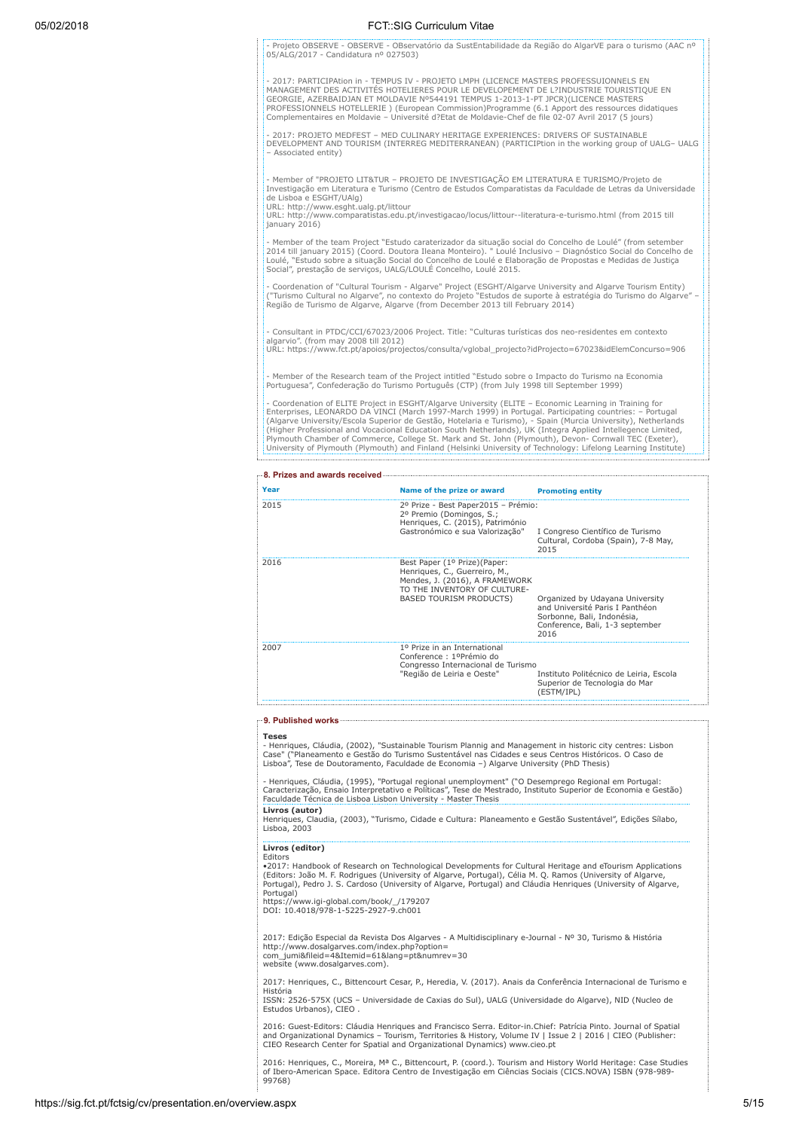| 05/02/2018 |                                                                                   | FCT::SIG Curriculum Vitae                                                                                                                                                                                                                                                                                                                                                      |                                                                                                                                                                                                                                                                                                                                                                                                                                                                                                                                                                 |
|------------|-----------------------------------------------------------------------------------|--------------------------------------------------------------------------------------------------------------------------------------------------------------------------------------------------------------------------------------------------------------------------------------------------------------------------------------------------------------------------------|-----------------------------------------------------------------------------------------------------------------------------------------------------------------------------------------------------------------------------------------------------------------------------------------------------------------------------------------------------------------------------------------------------------------------------------------------------------------------------------------------------------------------------------------------------------------|
|            | 05/ALG/2017 - Candidatura nº 027503)                                              |                                                                                                                                                                                                                                                                                                                                                                                | - Projeto OBSERVE - OBSERVE - OBservatório da SustEntabilidade da Região do AlgarVE para o turismo (AAC nº                                                                                                                                                                                                                                                                                                                                                                                                                                                      |
|            |                                                                                   | - 2017: PARTICIPAtion in - TEMPUS IV - PROJETO LMPH (LICENCE MASTERS PROFESSUIONNELS EN<br>MANAGEMENT DES ACTIVITÉS HOTELIERES POUR LE DEVELOPEMENT DE L?INDUSTRIE TOURISTIQUE EN<br>GEORGIE, AZERBAIDJAN ET MOLDAVIE Nº544191 TEMPUS 1-2013-1-PT JPCR)(LICENCE MASTERS<br>Complementaires en Moldavie - Université d?Etat de Moldavie-Chef de file 02-07 Avril 2017 (5 jours) | PROFESSIONNELS HOTELLERIE ) (European Commission)Programme (6.1 Apport des ressources didatiques                                                                                                                                                                                                                                                                                                                                                                                                                                                                |
|            | - Associated entity)                                                              | - 2017: PROJETO MEDFEST - MED CULINARY HERITAGE EXPERIENCES: DRIVERS OF SUSTAINABLE                                                                                                                                                                                                                                                                                            | DEVELOPMENT AND TOURISM (INTERREG MEDITERRANEAN) (PARTICIPtion in the working group of UALG- UALG                                                                                                                                                                                                                                                                                                                                                                                                                                                               |
|            | de Lisboa e ESGHT/UAlg)<br>URL: http://www.esght.ualg.pt/littour<br>january 2016) | - Member of "PROJETO LIT&TUR - PROJETO DE INVESTIGAÇÃO EM LITERATURA E TURISMO/Projeto de                                                                                                                                                                                                                                                                                      | Investigação em Literatura e Turismo (Centro de Estudos Comparatistas da Faculdade de Letras da Universidade<br>URL: http://www.comparatistas.edu.pt/investigacao/locus/littour--literatura-e-turismo.html (from 2015 till                                                                                                                                                                                                                                                                                                                                      |
|            | Social", prestação de serviços, UALG/LOULÉ Concelho, Loulé 2015.                  |                                                                                                                                                                                                                                                                                                                                                                                | - Member of the team Project "Estudo caraterizador da situação social do Concelho de Loulé" (from setember<br>2014 till january 2015) (Coord. Doutora Ileana Monteiro). " Loulé Inclusivo - Diagnóstico Social do Concelho de<br>Loulé, "Estudo sobre a situação Social do Concelho de Loulé e Elaboração de Propostas e Medidas de Justiça                                                                                                                                                                                                                     |
|            |                                                                                   | Região de Turismo de Algarve, Algarve (from December 2013 till February 2014)                                                                                                                                                                                                                                                                                                  | - Coordenation of "Cultural Tourism - Algarve" Project (ESGHT/Algarve University and Algarve Tourism Entity)<br>("Turismo Cultural no Algarve", no contexto do Projeto "Estudos de suporte à estratégia do Turismo do Algarve" -                                                                                                                                                                                                                                                                                                                                |
|            | algarvio". (from may 2008 till 2012)                                              | - Consultant in PTDC/CCI/67023/2006 Project. Title: "Culturas turísticas dos neo-residentes em contexto                                                                                                                                                                                                                                                                        | URL: https://www.fct.pt/apoios/projectos/consulta/vglobal_projecto?idProjecto=67023&idElemConcurso=906                                                                                                                                                                                                                                                                                                                                                                                                                                                          |
|            |                                                                                   | - Member of the Research team of the Project intitled "Estudo sobre o Impacto do Turismo na Economia<br>Portuguesa", Confederação do Turismo Português (CTP) (from July 1998 till September 1999)                                                                                                                                                                              |                                                                                                                                                                                                                                                                                                                                                                                                                                                                                                                                                                 |
|            |                                                                                   | - Coordenation of ELITE Project in ESGHT/Algarve University (ELITE - Economic Learning in Training for                                                                                                                                                                                                                                                                         | Enterprises, LEONARDO DA VINCI (March 1997-March 1999) in Portugal. Participating countries: - Portugal<br>(Algarve University/Escola Superior de Gestão, Hotelaria e Turismo), - Spain (Murcia University), Netherlands<br>(Higher Professional and Vocacional Education South Netherlands), UK (Integra Applied Intellegence Limited, Plymouth Chamber of Commerce, College St. Mark and St. John (Plymouth), Devon- Cornwall TEC (Exeter),<br>University of Plymouth (Plymouth) and Finland (Helsinki University of Technology: Lifelong Learning Institute) |
|            | -8. Prizes and awards received                                                    |                                                                                                                                                                                                                                                                                                                                                                                |                                                                                                                                                                                                                                                                                                                                                                                                                                                                                                                                                                 |
|            | Year                                                                              | Name of the prize or award                                                                                                                                                                                                                                                                                                                                                     | <b>Promoting entity</b>                                                                                                                                                                                                                                                                                                                                                                                                                                                                                                                                         |
|            | 2015                                                                              | 2º Prize - Best Paper2015 - Prémio:<br>2º Premio (Domingos, S.;<br>Henriques, C. (2015), Património<br>Gastronómico e sua Valorização"                                                                                                                                                                                                                                         | I Congreso Científico de Turismo<br>Cultural, Cordoba (Spain), 7-8 May,<br>2015                                                                                                                                                                                                                                                                                                                                                                                                                                                                                 |
|            | 2016                                                                              | Best Paper (1º Prize) (Paper:<br>Henriques, C., Guerreiro, M.,<br>Mendes, J. (2016), A FRAMEWORK<br>TO THE INVENTORY OF CULTURE-<br><b>BASED TOURISM PRODUCTS)</b>                                                                                                                                                                                                             | Organized by Udayana University<br>and Université Paris I Panthéon                                                                                                                                                                                                                                                                                                                                                                                                                                                                                              |

|      |                                                                                                | Sorbonne, Bali, Indonésia,<br>Conference, Bali, 1-3 september<br>2016                  |
|------|------------------------------------------------------------------------------------------------|----------------------------------------------------------------------------------------|
| 2007 | 1º Prize in an International<br>Conference : 1ºPrémio do<br>Congresso Internacional de Turismo |                                                                                        |
|      | "Região de Leiria e Oeste"                                                                     | Instituto Politécnico de Leiria, Escola<br>Superior de Tecnologia do Mar<br>(ESTM/IPL) |

9. Published works

# Teses

- Henriques, Cláudia, (2002), "Sustainable Tourism Plannig and Management in historic city centres: Lisbon<br>Case" ("Planeamento e Gestão do Turismo Sustentável nas Cidades e seus Centros Históricos. O Caso de<br>Lisboa", Tese

- Henriques, Cláudia, (1995), "Portugal regional unemployment" ("O Desemprego Regional em Portugal:<br>Caracterização, Ensaio Interpretativo e Políticas", Tese de Mestrado, Instituto Superior de Economia e Gestão)<br>Faculdade T Livros (autor)

Henriques, Claudia, (2003), "Turismo, Cidade e Cultura: Planeamento e Gestão Sustentável", Edições Sílabo, Lisboa, 2003

Livros (editor)

Editors<br>•2017: Handbook of Research on Technological Developments for Cultural Heritage and eTourism Applications<br>(Editors: João M. F. Rodrigues (University of Algarve, Portugal), Célia M. Q. Ramos (University of Algarve,<br>

https://www.igi-global.com/book/\_/179207 DOI: 10.4018/978-1-5225-2927-9.ch001

2017: Edição Especial da Revista Dos Algarves - A Multidisciplinary e-Journal - Nº 30, Turismo & História<br>http://www.dosalgarves.com/index.php?option=<br>com\_jumi&fileid=4&Itemid=61&lang=pt&numrev=30

website (www.dosalgarves.com).

2017: Henriques, C., Bittencourt Cesar, P., Heredia, V. (2017). Anais da Conferência Internacional de Turismo e História

ISSN: 2526-575X (UCS – Universidade de Caxias do Sul), UALG (Universidade do Algarve), NID (Nucleo de Estudos Urbanos), CIEO .

2016: Guest-Editors: Cláudia Henriques and Francisco Serra. Editor-in.Chief: Patrícia Pinto. Journal of Spatial and Organizational Dynamics – Tourism, Territories & History, Volume IV | Issue 2 | 2016 | CIEO (Publisher: CIEO Research Center for Spatial and Organizational Dynamics) www.cieo.pt

2016: Henriques, C., Moreira, Mª C., Bittencourt, P. (coord.). Tourism and History World Heritage: Case Studies of Ibero-American Space. Editora Centro de Investigação em Ciências Sociais (CICS.NOVA) ISBN (978-989- 99768)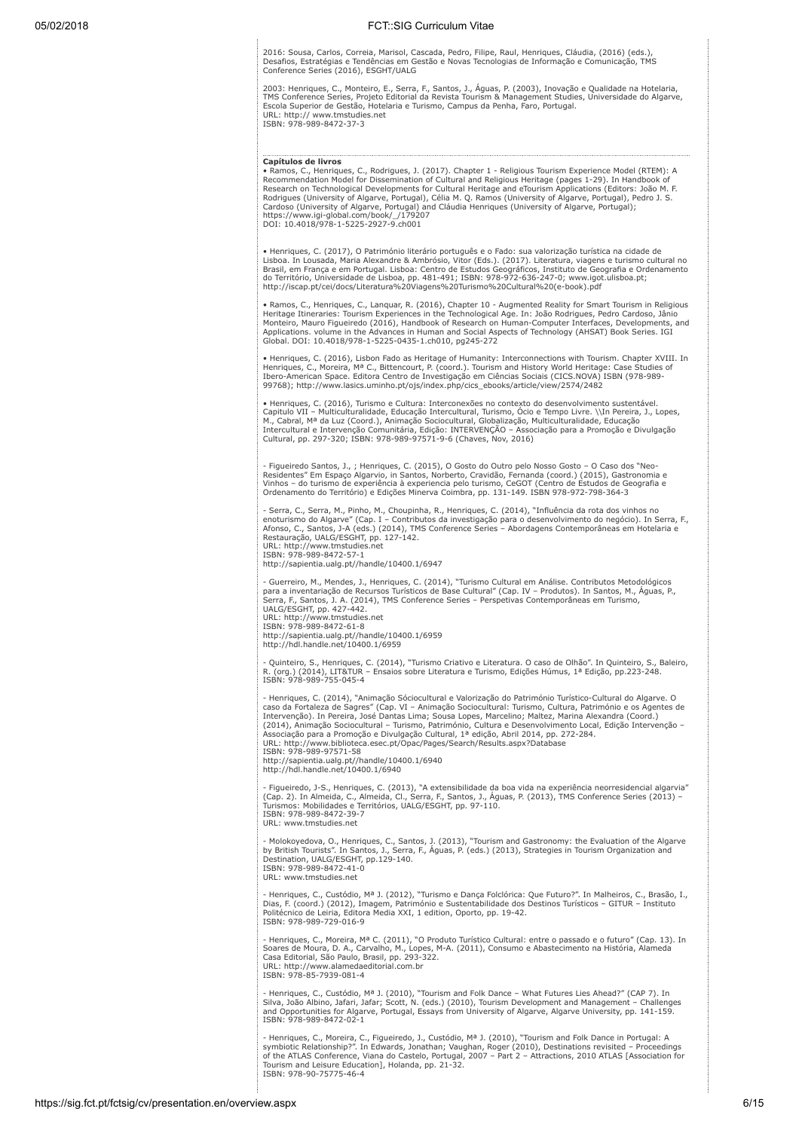2016: Sousa, Carlos, Correia, Marisol, Cascada, Pedro, Filipe, Raul, Henriques, Cláudia, (2016) (eds.), Desafios, Estratégias e Tendências em Gestão e Novas Tecnologias de Informação e Comunicação, TMS Conference Series (2016), ESGHT/UALG

2003: Henriques, C., Monteiro, E., Serra, F., Santos, J., Aguas, P. (2003), Inovação e Qualidade na Hotelaria,<br>TMS Conference Series, Projeto Editorial da Revista Tourism & Management Studies, Universidade do Algarve,<br>Esco URL: http:// www.tmstudies.net ISBN: 978-989-8472-37-3

Capítulos de livros • Ramos, C., Henriques, C., Rodrigues, J. (2017). Chapter 1 - Religious Tourism Experience Model (RTEM): A<br>Recommendation Model for Dissemination of Cultural and Religious Heritage (pages 1-29). In Handbook of<br>Research on

• Henriques, C. (2017), O Património literário português e o Fado: sua valorização turística na cidade de<br>Lisboa. In Lousada, Maria Alexandre & Ambrósio, Vitor (Eds.). (2017). Literatura, viagens e turismo cultural no<br>Bras

• Ramos, C., Henriques, C., Lanquar, R. (2016), Chapter 10 - Augmented Reality for Smart Tourism in Religious<br>Heritage Itineraries: Tourism Experiences in the Technological Age. In: João Rodrigues, Pedro Cardoso, Jânio<br>Mon

• Henriques, C. (2016), Lisbon Fado as Heritage of Humanity: Interconnections with Tourism. Chapter XVIII. In Henriques, C., Moreira, Mª C., Bittencourt, P. (coord.). Tourism and History World Heritage: Case Studies of<br>Ibero-American Space. Editora Centro de Investigação em Ciências Sociais (CICS.NOVA) ISBN (978-989-99768); http://www.lasics.uminho.pt/ojs/index.php/cics\_ebooks/article/view/2574/2482

• Henriques, C. (2016), Turismo e Cultura: Interconexões no contexto do desenvolvimento sustentável.<br>Capitulo VII – Multiculturalidade, Educação Intercultural, Turismo, Ócio e Tempo Livre. \\In Pereira, J., Lopes,<br>M., Cabr

- Figueiredo Santos, J., ; Henriques, C. (2015), O Gosto do Outro pelo Nosso Gosto – O Caso dos "Neo-<br>Residentes" Em Espaço Algarvio, in Santos, Norberto, Cravidão, Fernanda (coord.) (2015), Gastronomia e<br>Vinhos – do turis

- Serra, C., Serra, M., Pinho, M., Choupinha, R., Henriques, C. (2014), "Influência da rota dos vinhos no<br>enoturismo do Algarve" (Cap. I – Contributos da investigação para o desenvolvimento do negócio). In Serra, F.,<br>Afons Restauração, UALG/ESGHT, pp. 127-142. URL: http://www.tmstudies.net ISBN: 978-989-8472-57-1

http://sapientia.ualg.pt//handle/10400.1/6947

- Guerreiro, M., Mendes, J., Henriques, C. (2014), "Turismo Cultural em Análise. Contributos Metodológicos para a inventariação de Recursos Turísticos de Base Cultural" (Cap. IV – Produtos). In Santos, M., Aguas, P.,<br>Serra, F., Santos, J. A. (2014), TMS Conference Series – Perspetivas Contemporâneas em Turismo,<br>UALG/ESGHT, pp. ISBN: 978-989-8472-61-8

http://sapientia.ualg.pt//handle/10400.1/6959 http://hdl.handle.net/10400.1/6959

- Quinteiro, S., Henriques, C. (2014), "Turismo Criativo e Literatura. O caso de Olhão". In Quinteiro, S., Baleiro,<br>R. (org.) (2014), LIT&TUR – Ensaios sobre Literatura e Turismo, Edições Húmus, 1ª Edição, pp.223-248.<br>ISBN

- Henriques, C. (2014), "Animação Sóciocultural e Valorização do Património Turístico-Cultural do Algarve. O<br>caso da Fortaleza de Sagres" (Cap. VI – Animação Sociocultural: Turismo, Cultura, Património e os Agentes de<br>Inte ISBN: 978-989-97571-58 http://sapientia.ualg.pt//handle/10400.1/6940 http://hdl.handle.net/10400.1/6940

- Figueiredo, J-S., Henriques, C. (2013), "A extensibilidade da boa vida na experiência neorresidencial algarvia"<br>(Cap. 2). In Almeida, C., Almeida, Cl., Serra, F., Santos, J., Águas, P. (2013), TMS Conference Series (2013 URL: www.tmstudies.net

- Molokoyedova, O., Henriques, C., Santos, J. (2013), "Tourism and Gastronomy: the Evaluation of the Algarve<br>by British Tourists". In Santos, J., Serra, F., Águas, P. (eds.) (2013), Strategies in Tourism Organization and<br>D URL: www.tmstudies.net

- Henriques, C., Custódio, Mª J. (2012), "Turismo e Dança Folclórica: Que Futuro?". In Malheiros, C., Brasão, I.,<br>Dias, F. (coord.) (2012), Imagem, Património e Sustentabilidade dos Destinos Turísticos – GITUR – Instituto<br> ISBN: 978-989-729-016-9

- Henriques, C., Moreira, Mª C. (2011), "O Produto Turístico Cultural: entre o passado e o futuro" (Cap. 13). In<br>Soares de Moura, D. A., Carvalho, M., Lopes, M-A. (2011), Consumo e Abastecimento na História, Alameda<br>Casa URL: http://www.alamedaeditorial.com.br ISBN: 978-85-7939-081-4

- Henriques, C., Custódio, Mª J. (2010), "Tourism and Folk Dance – What Futures Lies Ahead?" (CAP 7). In<br>Silva, João Albino, Jafari, Jafar; Scott, N. (eds.) (2010), Tourism Development and Management – Challenges<br>and Oppor

- Henriques, C., Moreira, C., Figueiredo, J., Custódio, Mª J. (2010), "Tourism and Folk Dance in Portugal: A<br>symbiotic Relationship?". In Edwards, Jonathan; Vaughan, Roger (2010), Destinations revisited – Proceedings<br>of th Tourism and Leisure Education], Holanda, pp. 21-32. ISBN: 978-90-75775-46-4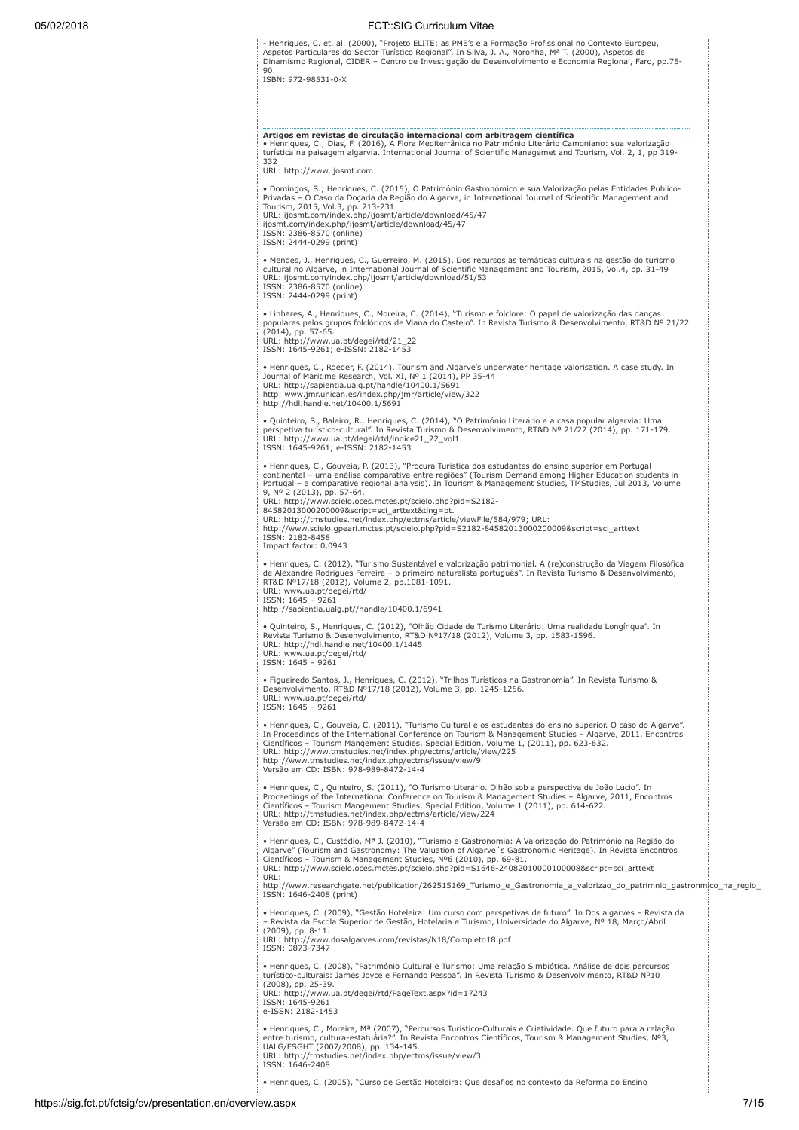- Henriques, C. et. al. (2000), "Projeto ELITE: as PME's e a Formação Profissional no Contexto Europeu,<br>Aspetos Particulares do Sector Turístico Regional". In Silva, J. A., Noronha, Mª T. (2000), Aspetos de<br>Dinamismo Regio

 $\begin{array}{ccccccccccccc} \multicolumn{2}{c}{} & \multicolumn{2}{c}{} & \multicolumn{2}{c}{} & \multicolumn{2}{c}{} & \multicolumn{2}{c}{} & \multicolumn{2}{c}{} & \multicolumn{2}{c}{} & \multicolumn{2}{c}{} & \multicolumn{2}{c}{} & \multicolumn{2}{c}{} & \multicolumn{2}{c}{} & \multicolumn{2}{c}{} & \multicolumn{2}{c}{} & \multicolumn{2}{c}{} & \multicolumn{2}{c}{} & \multicolumn{2}{c}{} & \multicolumn{2}{c}{} & \multicolumn{2}{c}{} & \multicolumn{2}{c}{} & \$ 

| 332<br>URL: http://www.ijosmt.com                                                                 | Artigos em revistas de circulação internacional com arbitragem científica<br>• Henriques, C.; Dias, F. (2016), A Flora Mediterrânica no Património Literário Camoniano: sua valorização<br>turística na paisagem algarvia. International Journal of Scientific Managemet and Tourism, Vol. 2, 1, pp 319-                                                                                                                                                                                                                                                                                                                |
|---------------------------------------------------------------------------------------------------|-------------------------------------------------------------------------------------------------------------------------------------------------------------------------------------------------------------------------------------------------------------------------------------------------------------------------------------------------------------------------------------------------------------------------------------------------------------------------------------------------------------------------------------------------------------------------------------------------------------------------|
| Tourism, 2015, Vol.3, pp. 213-231<br>ISSN: 2386-8570 (online)<br>ISSN: 2444-0299 (print)          | • Domingos, S.; Henriques, C. (2015), O Património Gastronómico e sua Valorização pelas Entidades Publico-<br>Privadas - O Caso da Doçaria da Região do Algarve, in International Journal of Scientific Management and<br>URL: ijosmt.com/index.php/ijosmt/article/download/45/47<br>ijosmt.com/index.php/ijosmt/article/download/45/47                                                                                                                                                                                                                                                                                 |
| ISSN: 2386-8570 (online)<br>ISSN: 2444-0299 (print)                                               | • Mendes, J., Henriques, C., Guerreiro, M. (2015), Dos recursos às temáticas culturais na gestão do turismo<br>cultural no Algarve, in International Journal of Scientific Management and Tourism, 2015, Vol.4, pp. 31-49<br>URL: ijosmt.com/index.php/ijosmt/article/download/51/53                                                                                                                                                                                                                                                                                                                                    |
| (2014), pp. 57-65.<br>URL: http://www.ua.pt/degei/rtd/21_22<br>ISSN: 1645-9261; e-ISSN: 2182-1453 | • Linhares, A., Henriques, C., Moreira, C. (2014), "Turismo e folclore: O papel de valorização das danças<br>populares pelos grupos folclóricos de Viana do Castelo". In Revista Turismo & Desenvolvimento, RT&D Nº 21/22                                                                                                                                                                                                                                                                                                                                                                                               |
| http://hdl.handle.net/10400.1/5691                                                                | • Henriques, C., Roeder, F. (2014), Tourism and Algarve's underwater heritage valorisation. A case study. In<br>Journal of Maritime Research, Vol. XI, Nº 1 (2014), PP 35-44<br>URL: http://sapientia.ualg.pt/handle/10400.1/5691<br>http: www.jmr.unican.es/index.php/jmr/article/view/322                                                                                                                                                                                                                                                                                                                             |
| ISSN: 1645-9261; e-ISSN: 2182-1453                                                                | · Quinteiro, S., Baleiro, R., Henriques, C. (2014), "O Património Literário e a casa popular algarvia: Uma<br>perspetiva turístico-cultural". In Revista Turismo & Desenvolvimento, RT&D Nº 21/22 (2014), pp. 171-179.<br>URL: http://www.ua.pt/degei/rtd/indice21_22_vol1                                                                                                                                                                                                                                                                                                                                              |
| 9, Nº 2 (2013), pp. 57-64.<br>ISSN: 2182-8458<br>Impact factor: 0,0943                            | · Henriques, C., Gouveia, P. (2013), "Procura Turística dos estudantes do ensino superior em Portugal<br>continental - uma análise comparativa entre regiões" (Tourism Demand among Higher Education students in<br>Portugal - a comparative regional analysis). In Tourism & Management Studies, TMStudies, Jul 2013, Volume<br>URL: http://www.scielo.oces.mctes.pt/scielo.php?pid=S2182-<br>84582013000200009&script=sci_arttext&tlng=pt.<br>URL: http://tmstudies.net/index.php/ectms/article/viewFile/584/979; URL:<br>http://www.scielo.gpeari.mctes.pt/scielo.php?pid=S2182-84582013000200009&script=sci_arttext |
| URL: www.ua.pt/degei/rtd/<br>ISSN: 1645 - 9261                                                    | • Henriques, C. (2012), "Turismo Sustentável e valorização patrimonial. A (re)construção da Viagem Filosófica<br>de Alexandre Rodrigues Ferreira - o primeiro naturalista português". In Revista Turismo & Desenvolvimento,<br>RT&D Nº17/18 (2012), Volume 2, pp.1081-1091.<br>http://sapientia.ualg.pt//handle/10400.1/6941                                                                                                                                                                                                                                                                                            |
| URL: www.ua.pt/degei/rtd/<br>ISSN: 1645 - 9261                                                    | · Quinteiro, S., Henriques, C. (2012), "Olhão Cidade de Turismo Literário: Uma realidade Longínqua". In<br>Revista Turismo & Desenvolvimento, RT&D Nº17/18 (2012), Volume 3, pp. 1583-1596.<br>URL: http://hdl.handle.net/10400.1/1445                                                                                                                                                                                                                                                                                                                                                                                  |
| URL: www.ua.pt/degei/rtd/<br>ISSN: 1645 - 9261                                                    | · Figueiredo Santos, J., Henriques, C. (2012), "Trilhos Turísticos na Gastronomia". In Revista Turismo &<br>Desenvolvimento, RT&D Nº17/18 (2012), Volume 3, pp. 1245-1256.                                                                                                                                                                                                                                                                                                                                                                                                                                              |
|                                                                                                   | • Henriques, C., Gouveia, C. (2011), "Turismo Cultural e os estudantes do ensino superior. O caso do Algarve".<br>In Proceedings of the International Conference on Tourism & Management Studies - Algarve, 2011, Encontros<br>Científicos - Tourism Mangement Studies, Special Edition, Volume 1, (2011), pp. 623-632.<br>URL: http://www.tmstudies.net/index.php/ectms/article/view/225<br>http://www.tmstudies.net/index.php/ectms/issue/view/9<br>Versão em CD: ISBN: 978-989-8472-14-4                                                                                                                             |
|                                                                                                   | • Henriques, C., Quinteiro, S. (2011), "O Turismo Literário. Olhão sob a perspectiva de João Lucio". In<br>Proceedings of the International Conference on Tourism & Management Studies - Algarve, 2011, Encontros<br>Científicos - Tourism Mangement Studies, Special Edition, Volume 1 (2011), pp. 614-622.<br>URL: http://tmstudies.net/index.php/ectms/article/view/224<br>Versão em CD: ISBN: 978-989-8472-14-4                                                                                                                                                                                                     |
| URL:                                                                                              | • Henriques, C., Custódio, Mª J. (2010), "Turismo e Gastronomia: A Valorização do Património na Região do<br>Algarve" (Tourism and Gastronomy: The Valuation of Algarve's Gastronomic Heritage). In Revista Encontros<br>Científicos - Tourism & Management Studies, Nº6 (2010), pp. 69-81.<br>URL: http://www.scielo.oces.mctes.pt/scielo.php?pid=S1646-24082010000100008&script=sci arttext                                                                                                                                                                                                                           |
| ISSN: 1646-2408 (print)                                                                           | http://www.researchgate.net/publication/262515169_Turismo_e_Gastronomia_a_valorizao_do_patrimnio_gastronmico_na_regio_                                                                                                                                                                                                                                                                                                                                                                                                                                                                                                  |
| $(2009)$ , pp. 8-11.<br>ISSN: 0873-7347                                                           | • Henriques, C. (2009), "Gestão Hoteleira: Um curso com perspetivas de futuro". In Dos algarves - Revista da<br>- Revista da Escola Superior de Gestão, Hotelaria e Turismo, Universidade do Algarve, Nº 18, Marco/Abril<br>URL: http://www.dosalgarves.com/revistas/N18/Completo18.pdf                                                                                                                                                                                                                                                                                                                                 |
| (2008), pp. 25-39.<br>ISSN: 1645-9261<br>e-ISSN: 2182-1453                                        | · Henriques, C. (2008), "Património Cultural e Turismo: Uma relação Simbiótica. Análise de dois percursos<br>turístico-culturais: James Joyce e Fernando Pessoa". In Revista Turismo & Desenvolvimento, RT&D Nº10<br>URL: http://www.ua.pt/degei/rtd/PageText.aspx?id=17243                                                                                                                                                                                                                                                                                                                                             |
| UALG/ESGHT (2007/2008), pp. 134-145.                                                              | • Henriques, C., Moreira, Mª (2007), "Percursos Turístico-Culturais e Criatividade. Que futuro para a relação<br>entre turismo, cultura-estatuária?". In Revista Encontros Científicos, Tourism & Management Studies, Nº3,<br>URL: http://tmstudies.net/index.php/ectms/issue/view/3                                                                                                                                                                                                                                                                                                                                    |

• Henriques, C. (2005), "Curso de Gestão Hoteleira: Que desafios no contexto da Reforma do Ensino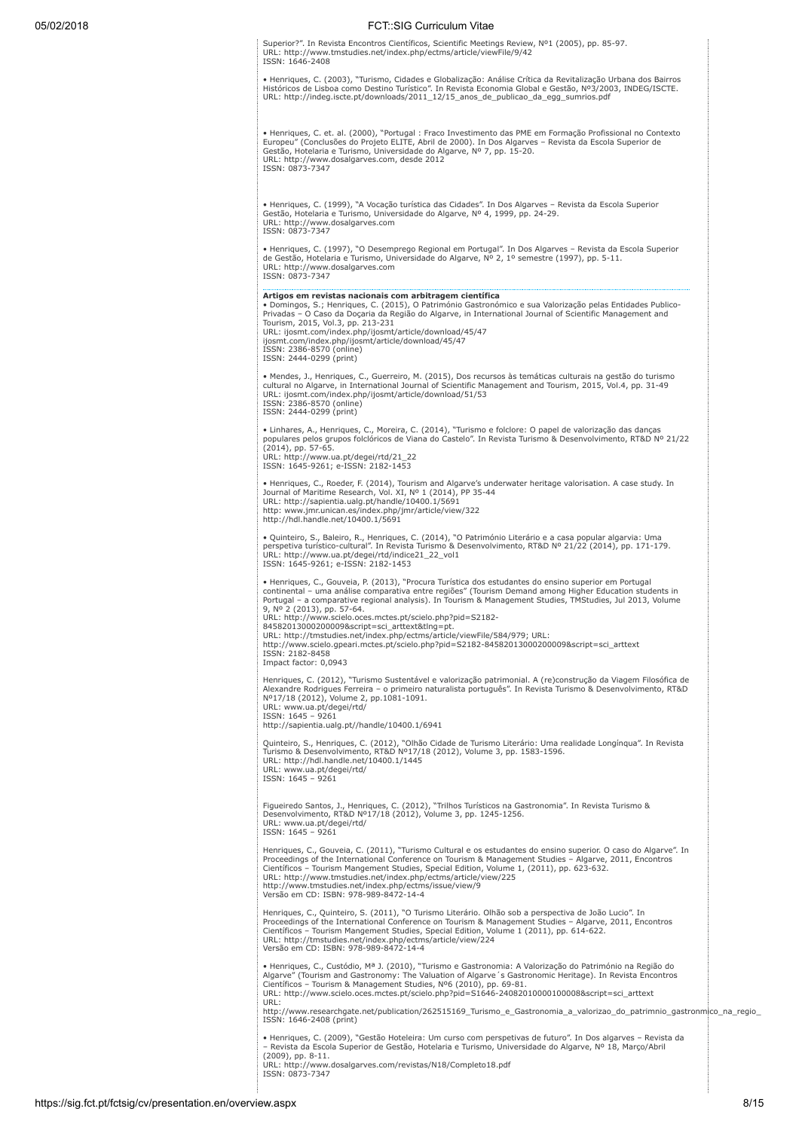Superior?". In Revista Encontros Científicos, Scientific Meetings Review, Nº1 (2005), pp. 85-97. URL: http://www.tmstudies.net/index.php/ectms/article/viewFile/9/42 ISSN: 1646-2408

• Henriques, C. (2003), "Turismo, Cidades e Globalização: Análise Crítica da Revitalização Urbana dos Bairros<br>Históricos de Lisboa como Destino Turístico". In Revista Economia Global e Gestão, Nº3/2003, INDEG/ISCTE.<br>URL: h

• Henriques, C. et. al. (2000), "Portugal : Fraco Investimento das PME em Formação Profissional no Contexto Europeu" (Conclusões do Projeto ELITE, Abril de 2000). In Dos Algarves – Revista da Escola Superior de Gestão, Hotelaria e Turismo, Universidade do Algarve, Nº 7, pp. 15-20. URL: http://www.dosalgarves.com, desde 2012 ISSN: 0873-7347

• Henriques, C. (1999), "A Vocação turística das Cidades". In Dos Algarves – Revista da Escola Superior<br>Gestão, Hotelaria e Turismo, Universidade do Algarve, № 4, 1999, pp. 24-29.<br>URL: http://www.dosalgarves.com ISSN: 0873-7347

• Henriques, C. (1997), "O Desemprego Regional em Portugal". In Dos Algarves – Revista da Escola Superior<br>de Gestão, Hotelaria e Turismo, Universidade do Algarve, Nº 2, 1º semestre (1997), pp. 5-11.<br>URL: http://www.dosalga

**Artigos em revistas nacionais com arbitragem científica**<br>• Domingos, S.; Henriques, C. (2015), O Património Gastronómico e sua Valorização pelas Entidades Publico-<br>Privadas – O Caso da Doçaria da Região do Algarve, in Int Tourism, 2015, Vol.3, pp. 213-231 URL: ijosmt.com/index.php/ijosmt/article/download/45/47 ijosmt.com/index.php/ijosmt/article/download/45/47

ISSN: 2386-8570 (online) ISSN: 2444-0299 (print)

• Mendes, J., Henriques, C., Guerreiro, M. (2015), Dos recursos às temáticas culturais na gestão do turismo cultural no Algarve, in International Journal of Scientific Management and Tourism, 2015, Vol.4, pp. 31-49<br>URL: ijosmt.com/index.php/ijosmt/article/download/51/53<br>ISSN: 2386-8570 (online)<br>ISSN: 2444-0299 (print)

• Linhares, A., Henriques, C., Moreira, C. (2014), "Turismo e folclore: O papel de valorização das danças<br>populares pelos grupos folclóricos de Viana do Castelo". In Revista Turismo & Desenvolvimento, RT&D № 21/22<br>(2014), URL: http://www.ua.pt/degei/rtd/21\_22 ISSN: 1645-9261; e-ISSN: 2182-1453

• Henriques, C., Roeder, F. (2014), Tourism and Algarve's underwater heritage valorisation. A case study. In<br>Journal of Maritime Research, Vol. XI, Nº 1 (2014), PP 35-44<br>URL: http://sapientia.ualg.pt/handle/10400.1/5691 http: www.jmr.unican.es/index.php/jmr/article/view/322 http://hdl.handle.net/10400.1/5691

• Quinteiro, S., Baleiro, R., Henriques, C. (2014), "O Património Literário e a casa popular algarvia: Uma perspetiva turístico-cultural". In Revista Turismo & Desenvolvimento, RT&D Nº 21/22 (2014), pp. 171-179. URL: http://www.ua.pt/degei/rtd/indice21\_22\_vol1 ISSN: 1645-9261; e-ISSN: 2182-1453

• Henriques, C., Gouveia, P. (2013), "Procura Turística dos estudantes do ensino superior em Portugal<br>continental – uma análise comparativa entre regiões" (Tourism Demand among Higher Education students in<br>Portugal – a com

9, Nº 2 (2013), pp. 57-64.<br>URL: http://www.scielo.oces.mctes.pt/scielo.php?pid=S2182-<br>84582013000200008&script=sci\_arttext&tlng=pt.<br>URL: http://tmstudies.net/index.php/ectms/article/viewFile/584/979; URL:<br>http://www.scielo ISSN: 2182-8458

Impact factor: 0,0943

Henriques, C. (2012), "Turismo Sustentável e valorização patrimonial. A (re)construção da Viagem Filosófica de<br>Alexandre Rodrigues Ferreira – o primeiro naturalista português". In Revista Turismo & Desenvolvimento, RT&D<br>Nº

Quinteiro, S., Henriques, C. (2012), "Olhão Cidade de Turismo Literário: Uma realidade Longínqua". In Revista<br>Turismo & Desenvolvimento, RT&D Nº17/18 (2012), Volume 3, pp. 1583-1596.<br>URL: http://hdl.handle.net/10400.1/1445 URL: www.ua.pt/degei/rtd/ ISSN: 1645 – 9261

Figueiredo Santos, J., Henriques, C. (2012), "Trilhos Turísticos na Gastronomia". In Revista Turismo & Desenvolvimento, RT&D Nº17/18 (2012), Volume 3, pp. 1245-1256. URL: www.ua.pt/degei/rtd/ ISSN: 1645 – 9261

Henriques, C., Gouveia, C. (2011), "Turismo Cultural e os estudantes do ensino superior. O caso do Algarve". In<br>Proceedings of the International Conference on Tourism & Management Studies – Algarve, 2011, Encontros Científicos – Tourism Mangement Studies, Special Edition, Volume 1, (2011), pp. 623-632.<br>URL: http://www.tmstudies.net/index.php/ectms/article/view/225<br>http://www.tmstudies.net/index.php/ectms/issue/view/9 Versão em CD: ISBN: 978-989-8472-14-4

Henriques, C., Quinteiro, S. (2011), "O Turismo Literário. Olhão sob a perspectiva de João Lucio". In Proceedings of the International Conference on Tourism & Management Studies – Algarve, 2011, Encontros Científicos – Tourism Mangement Studies, Special Edition, Volume 1 (2011), pp. 614-622. URL: http://tmstudies.net/index.php/ectms/article/view/224 Versão em CD: ISBN: 978-989-8472-14-4

• Henriques, C., Custódio, Mª J. (2010), "Turismo e Gastronomia: A Valorização do Património na Região do<br>Algarve" (Tourism and Gastronomy: The Valuation of Algarve´s Gastronomic Heritage). In Revista Encontros<br>Científicos URL:

http://www.researchgate.net/publication/262515169\_Turismo\_e\_Gastronomia\_a\_valorizao\_do\_patrimnio\_gastronmico\_na\_regio\_ ISSN: 1646-2408 (print)

• Henriques, C. (2009), "Gestão Hoteleira: Um curso com perspetivas de futuro". In Dos algarves – Revista da<br>– Revista da Escola Superior de Gestão, Hotelaria e Turismo, Universidade do Algarve, № 18, Março/Abril (2009), pp. 8-11. URL: http://www.dosalgarves.com/revistas/N18/Completo18.pdf ISSN: 0873-7347

https://sig.fct.pt/fctsig/cv/presentation.en/overview.aspx 8/15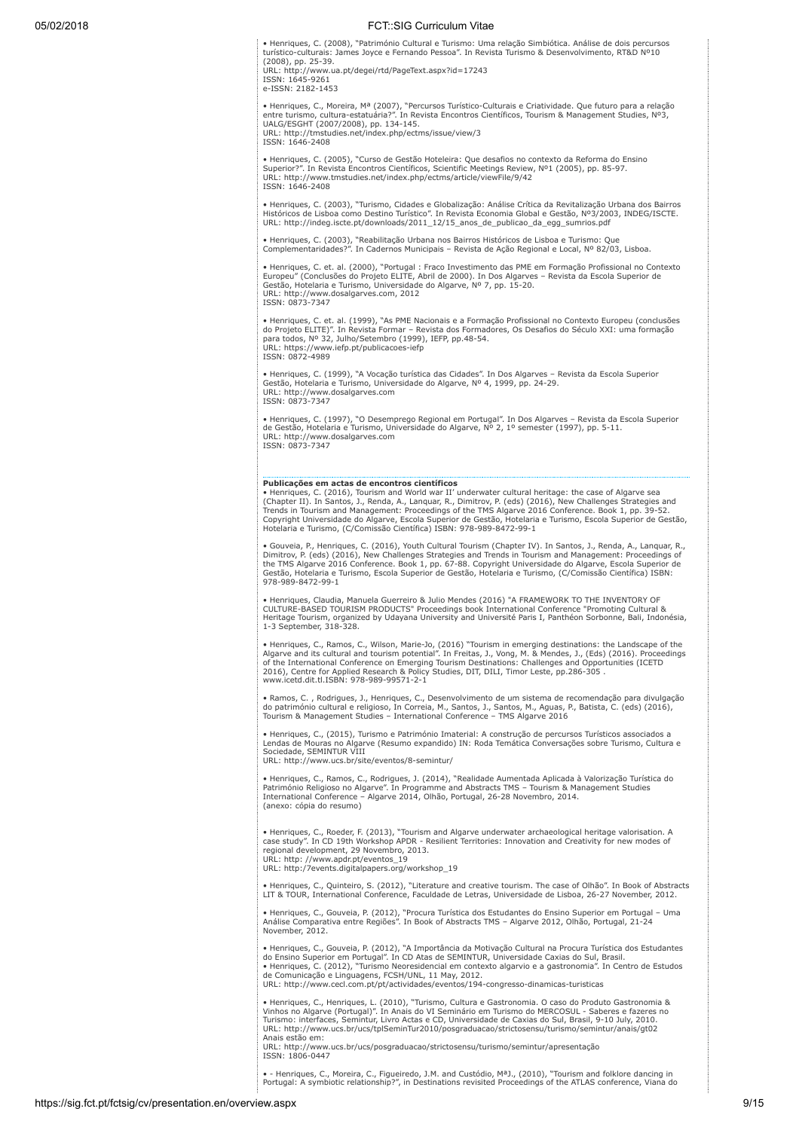• Henriques, C. (2008), "Património Cultural e Turismo: Uma relação Simbiótica. Análise de dois percursos<br>turístico-culturais: James Joyce e Fernando Pessoa". In Revista Turismo & Desenvolvimento, RT&D Nº10<br>(2008), pp. 25-URL: http://www.ua.pt/degei/rtd/PageText.aspx?id=17243 ISSN: 1645-9261

e-ISSN: 2182-1453

• Henriques, C., Moreira, Mª (2007), "Percursos Turístico-Culturais e Criatividade. Que futuro para a relação<br>entre turismo, cultura-estatuária?". In Revista Encontros Científicos, Tourism & Management Studies, Nº3,<br>UALG/ URL: http://tmstudies.net/index.php/ectms/issue/view/3 ISSN: 1646-2408

• Henriques, C. (2005), "Curso de Gestão Hoteleira: Que desafios no contexto da Reforma do Ensino<br>Superior?". In Revista Encontros Científicos, Scientífic Meetings Review, №1 (2005), pp. 85-97.<br>URL: http://www.tmstudies.n ISSN: 1646-2408

• Henriques, C. (2003), "Turismo, Cidades e Globalização: Análise Crítica da Revitalização Urbana dos Bairros<br>Históricos de Lisboa como Destino Turístico". In Revista Economia Global e Gestão, Nº3/2003, INDEG/ISCTE.<br>URL: h

• Henriques, C. (2003), "Reabilitação Urbana nos Bairros Históricos de Lisboa e Turismo: Que Complementaridades?". In Cadernos Municipais – Revista de Ação Regional e Local, Nº 82/03, Lisboa.

• Henriques, C. et. al. (2000), "Portugal : Fraco Investimento das PME em Formação Profissional no Contexto Europeu" (Conclusões do Projeto ELITE, Abril de 2000). In Dos Algarves – Revista da Escola Superior de Gestão, Hotelaria e Turismo, Universidade do Algarve, Nº 7, pp. 15-20. URL: http://www.dosalgarves.com, 2012 ISSN: 0873-7347

• Henriques, C. et. al. (1999), "As PME Nacionais e a Formação Profissional no Contexto Europeu (conclusões<br>do Projeto ELITE)". In Revista Formar – Revista dos Formadores, Os Desafios do Século XXI: uma formação<br>para todos ISSN: 0872-4989

• Henriques, C. (1999), "A Vocação turística das Cidades". In Dos Algarves – Revista da Escola Superior<br>Gestão, Hotelaria e Turismo, Universidade do Algarve, № 4, 1999, pp. 24-29.<br>URL: http://www.dosalgarves.com ISSN: 0873-7347

• Henriques, C. (1997), "O Desemprego Regional em Portugal". In Dos Algarves – Revista da Escola Superior<br>de Gestão, Hotelaria e Turismo, Universidade do Algarve, № 2, 1º semester (1997), pp. 5-11.<br>URL: http://www.dosalga ISSN: 0873-7347

**Publicações em actas de encontros científicos**<br>• Henriques, C. (2016), Tourism and World war II' underwater cultural heritage: the case of Algarve sea<br>«Chapter II). In Santos, J., Renda, A., Lanquar, R., Dimitrov, P. (eds

• Gouveia, P., Henriques, C. (2016), Youth Cultural Tourism (Chapter IV). In Santos, J., Renda, A., Lanquar, R., Dimitrov, P. (eds) (2016), New Challenges Strategies and Trends in Tourism and Management: Proceedings of<br>the TMS Algarve 2016 Conference. Book 1, pp. 67-88. Copyright Universidade do Algarve, Escola Superior de<br>Gestão, Ho 978-989-8472-99-1

• Henriques, Claudia, Manuela Guerreiro & Julio Mendes (2016) "A FRAMEWORK TO THE INVENTORY OF<br>CULTURE-BASED TOURISM PRODUCTS" Proceedings book International Conference "Promoting Cultural &<br>Heritage Tourism, organized by

• Henriques, C., Ramos, C., Wilson, Marie-Jo, (2016) "Tourism in emerging destinations: the Landscape of the<br>Algarve and its cultural and tourism potential". In Freitas, J., Vong, M. & Mendes, J., (Eds) (2016). Proceedings www.icetd.dit.tl.ISBN: 978-989-99571-2-1

• Ramos, C. , Rodrigues, J., Henriques, C., Desenvolvimento de um sistema de recomendação para divulgação<br>do património cultural e religioso, In Correia, M., Santos, J., Santos, M., Aguas, P., Batista, C. (eds) (2016),<br>Tou

• Henriques, C., (2015), Turismo e Património Imaterial: A construção de percursos Turísticos associados a Lendas de Mouras no Algarve (Resumo expandido) IN: Roda Temática Conversações sobre Turismo, Cultura e Sociedade, SEMINTUR VIII URL: http://www.ucs.br/site/eventos/8-semintur/

• Henriques, C., Ramos, C., Rodrigues, J. (2014), "Realidade Aumentada Aplicada à Valorização Turística do<br>Património Religioso no Algarve". In Programme and Abstracts TMS – Tourism & Management Studies<br>International Confe (anexo: cópia do resumo)

• Henriques, C., Roeder, F. (2013), "Tourism and Algarve underwater archaeological heritage valorisation. A<br>case study". In CD 19th Workshop APDR - Resilient Territories: Innovation and Creativity for new modes of<br>regional

URL: http:/7events.digitalpapers.org/workshop\_19

• Henriques, C., Quinteiro, S. (2012), "Literature and creative tourism. The case of Olhão". In Book of Abstracts LIT & TOUR, International Conference, Faculdade de Letras, Universidade de Lisboa, 26-27 November, 2012.

• Henriques, C., Gouveia, P. (2012), "Procura Turística dos Estudantes do Ensino Superior em Portugal – Uma Análise Comparativa entre Regiões". In Book of Abstracts TMS – Algarve 2012, Olhão, Portugal, 21-24 November, 2012.

• Henriques, C., Gouveia, P. (2012), "A Importância da Motivação Cultural na Procura Turística dos Estudantes<br>do Ensino Superior em Portugal". In CD Atas de SEMINTUR, Universidade Caxias do Sul, Brasil.<br>• Henriques, C. (20 URL: http://www.cecl.com.pt/pt/actividades/eventos/194-congresso-dinamicas-turisticas

• Henriques, C., Henriques, L. (2010), "Turismo, Cultura e Gastronomia. O caso do Produto Gastronomia &<br>Vinhos no Algarve (Portugal)". In Anais do VI Seminário em Turismo do MERCOSUL - Saberes e fazeres no<br>Turismo: interfa

Anais estão em:<br>URL: http://www.ucs.br/ucs/posgraduacao/strictosensu/turismo/semintur/apresentação<br>ISSN: 1806-0447

• - Henriques, C., Moreira, C., Figueiredo, J.M. and Custódio, MªJ., (2010), "Tourism and folklore dancing in Portugal: A symbiotic relationship?", in Destinations revisited Proceedings of the ATLAS conference, Viana do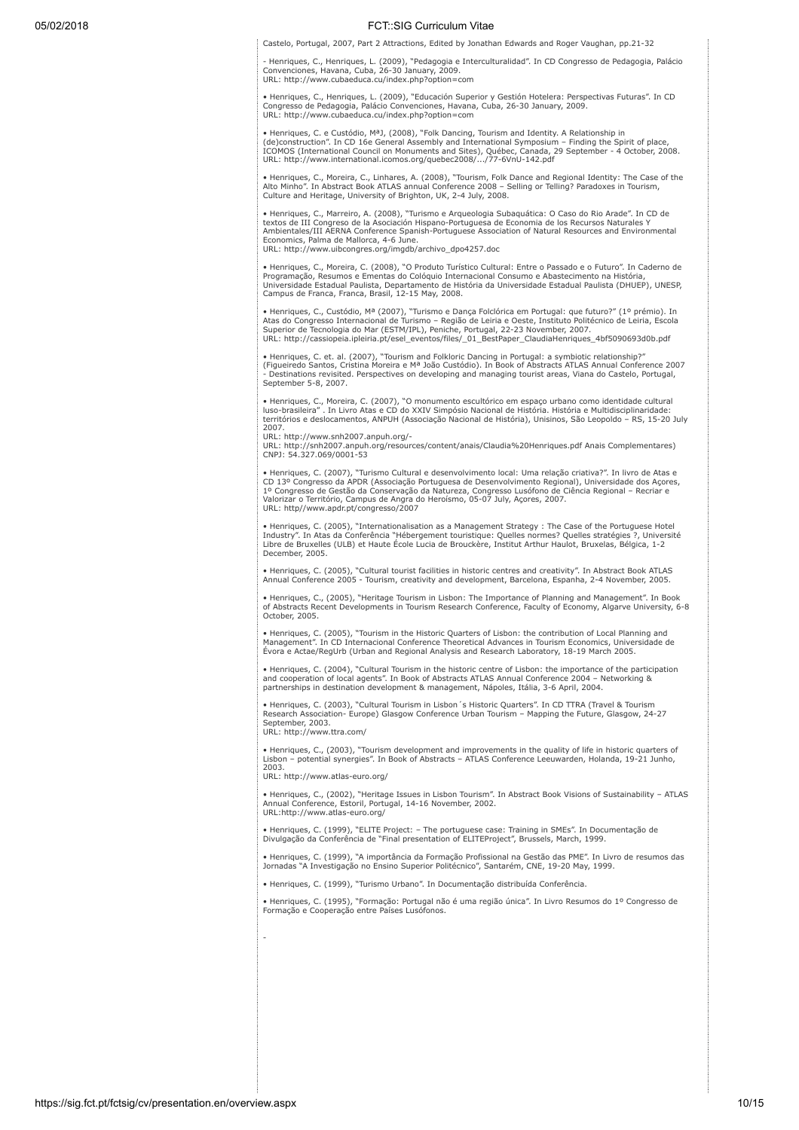Castelo, Portugal, 2007, Part 2 Attractions, Edited by Jonathan Edwards and Roger Vaughan, pp.21-32

- Henriques, C., Henriques, L. (2009), "Pedagogia e Interculturalidad". In CD Congresso de Pedagogia, Palácio<br>Convenciones, Havana, Cuba, 26-30 January, 2009.<br>URL: http://www.cubaeduca.cu/index.php?option=com

• Henriques, C., Henriques, L. (2009), "Educación Superior y Gestión Hotelera: Perspectivas Futuras". In CD Congresso de Pedagogia, Palácio Convenciones, Havana, Cuba, 26-30 January, 2009. URL: http://www.cubaeduca.cu/index.php?option=com

• Henriques, C. e Custódio, MªJ, (2008), "Folk Dancing, Tourism and Identity. A Relationship in (de)construction". In CD 16e General Assembly and International Symposium – Finding the Spirit of place,<br>ICOMOS (International Council on Monuments and Sites), Québec, Canada, 29 September - 4 October, 2008.<br>URL: http://ww

• Henriques, C., Moreira, C., Linhares, A. (2008), "Tourism, Folk Dance and Regional Identity: The Case of the Alto Minho". In Abstract Book ATLAS annual Conference 2008 – Selling or Telling? Paradoxes in Tourism, Culture and Heritage, University of Brighton, UK, 2-4 July, 2008.

• Henriques, C., Marreiro, A. (2008), "Turismo e Arqueologia Subaquática: O Caso do Rio Arade". In CD de textos de III Congreso de la Asociación Hispano-Portuguesa de Economia de los Recursos Naturales Y Ambientales/III AERNA Conference Spanish-Portuguese Association of Natural Resources and Environmental Economics, Palma de Mallorca, 4-6 June. URL: http://www.uibcongres.org/imgdb/archivo\_dpo4257.doc

• Henriques, C., Moreira, C. (2008), "O Produto Turístico Cultural: Entre o Passado e o Futuro". In Caderno de Programação, Resumos e Ementas do Colóquio Internacional Consumo e Abastecimento na História, Universidade Estadual Paulista, Departamento de História da Universidade Estadual Paulista (DHUEP), UNESP, Campus de Franca, Franca, Brasil, 12-15 May, 2008.

• Henriques, C., Custódio, Mª (2007), "Turismo e Dança Folclórica em Portugal: que futuro?" (1º prémio). In Atas do Congresso Internacional de Turismo – Região de Leiria e Oeste, Instituto Politécnico de Leiria, Escola Superior de Tecnologia do Mar (ESTM/IPL), Peniche, Portugal, 22-23 November, 2007. URL: http://cassiopeia.ipleiria.pt/esel\_eventos/files/\_01\_BestPaper\_ClaudiaHenriques\_4bf5090693d0b.pdf

• Henriques, C. et. al. (2007), "Tourism and Folkloric Dancing in Portugal: a symbiotic relationship?" (Figueiredo Santos, Cristina Moreira e Mª João Custódio). In Book of Abstracts ATLAS Annual Conference 2007 - Destinations revisited. Perspectives on developing and managing tourist areas, Viana do Castelo, Portugal, September 5-8, 2007.

• Henriques, C., Moreira, C. (2007), "O monumento escultórico em espaço urbano como identidade cultural<br>Iuso-brasileira" . In Livro Atas e CD do XXIV Simpósio Nacional de História. História e Multidisciplinaridade:<br>territó 2007.

URL: http://www.snh2007.anpuh.org/-

URL: http://snh2007.anpuh.org/resources/content/anais/Claudia%20Henriques.pdf Anais Complementares) CNPJ: 54.327.069/0001-53

• Henriques, C. (2007), "Turismo Cultural e desenvolvimento local: Uma relação criativa?". In livro de Atas e<br>CD 13º Congresso da APDR (Associação Portuguesa de Desenvolvimento Regional), Universidade dos Açores,<br>1º Congre Valorizar o Território, Campus de Angra do Heroísmo, 05-07 July, Açores, 2007. URL: http//www.apdr.pt/congresso/2007

• Henriques, C. (2005), "Internationalisation as a Management Strategy : The Case of the Portuguese Hotel<br>Industry". In Atas da Conferência "Hébergement touristique: Quelles normes? Quelles stratégies ?, Université<br>Libre d December, 2005.

• Henriques, C. (2005), "Cultural tourist facilities in historic centres and creativity". In Abstract Book ATLAS Annual Conference 2005 - Tourism, creativity and development, Barcelona, Espanha, 2-4 November, 2005.

• Henriques, C., (2005), "Heritage Tourism in Lisbon: The Importance of Planning and Management". In Book of Abstracts Recent Developments in Tourism Research Conference, Faculty of Economy, Algarve University, 6-8 October, 2005.

• Henriques, C. (2005), "Tourism in the Historic Quarters of Lisbon: the contribution of Local Planning and Management". In CD Internacional Conference Theoretical Advances in Tourism Economics, Universidade de Évora e Actae/RegUrb (Urban and Regional Analysis and Research Laboratory, 18-19 March 2005.

• Henriques, C. (2004), "Cultural Tourism in the historic centre of Lisbon: the importance of the participation and cooperation of local agents". In Book of Abstracts ATLAS Annual Conference 2004 – Networking & partnerships in destination development & management, Nápoles, Itália, 3-6 April, 2004.

• Henriques, C. (2003), "Cultural Tourism in Lisbon´s Historic Quarters". In CD TTRA (Travel & Tourism Research Association- Europe) Glasgow Conference Urban Tourism – Mapping the Future, Glasgow, 24-27 September, 2003.

URL: http://www.ttra.com/

• Henriques, C., (2003), "Tourism development and improvements in the quality of life in historic quarters of Lisbon – potential synergies". In Book of Abstracts – ATLAS Conference Leeuwarden, Holanda, 19-21 Junho, 2003.

URL: http://www.atlas-euro.org/

-

• Henriques, C., (2002), "Heritage Issues in Lisbon Tourism". In Abstract Book Visions of Sustainability – ATLAS Annual Conference, Estoril, Portugal, 14-16 November, 2002. URL:http://www.atlas-euro.org/

• Henriques, C. (1999), "ELITE Project: – The portuguese case: Training in SMEs". In Documentação de Divulgação da Conferência de "Final presentation of ELITEProject", Brussels, March, 1999.

• Henriques, C. (1999), "A importância da Formação Profissional na Gestão das PME". In Livro de resumos das Jornadas "A Investigação no Ensino Superior Politécnico", Santarém, CNE, 19-20 May, 1999.

• Henriques, C. (1999), "Turismo Urbano". In Documentação distribuída Conferência.

• Henriques, C. (1995), "Formação: Portugal não é uma região única". In Livro Resumos do 1º Congresso de Formação e Cooperação entre Países Lusófonos.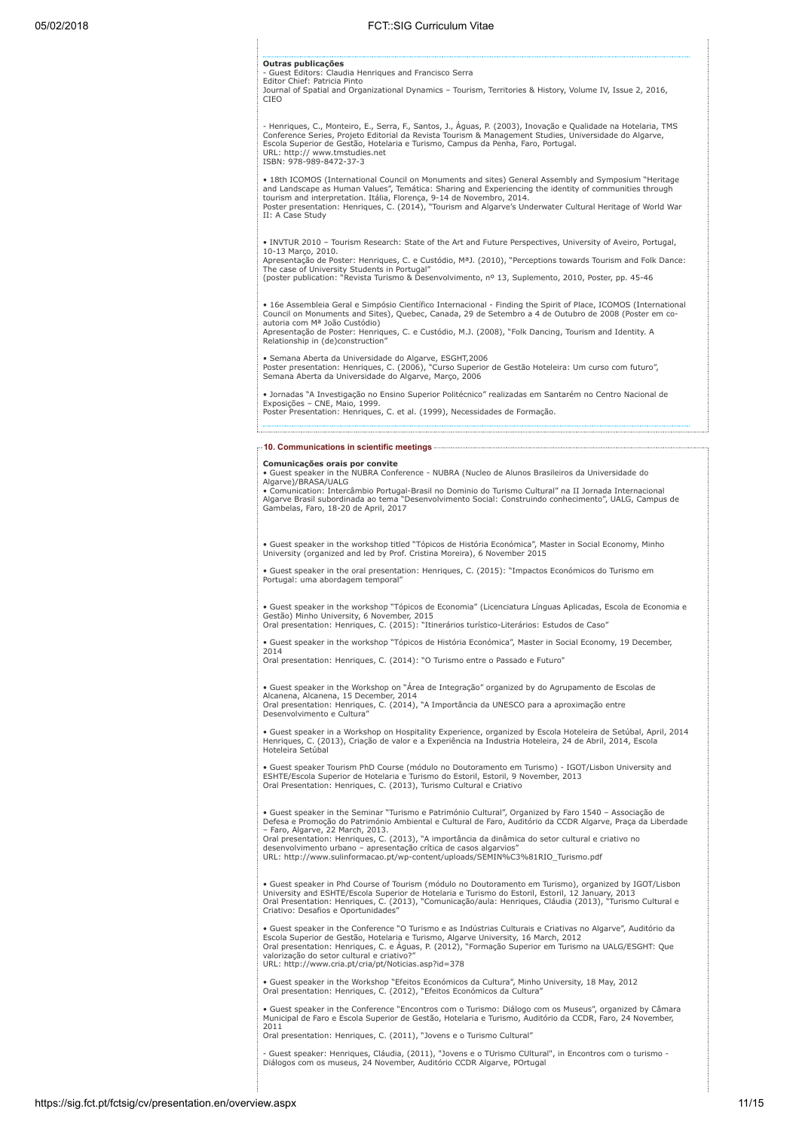| 05/02/2018 | FCT::SIG Curriculum Vitae                                                                                                                                                                                                                                                                                                                                                                                                                                                                                               |  |  |  |
|------------|-------------------------------------------------------------------------------------------------------------------------------------------------------------------------------------------------------------------------------------------------------------------------------------------------------------------------------------------------------------------------------------------------------------------------------------------------------------------------------------------------------------------------|--|--|--|
|            | Outras publicações<br>- Guest Editors: Claudia Henriques and Francisco Serra<br>Editor Chief: Patricia Pinto<br>Journal of Spatial and Organizational Dynamics - Tourism, Territories & History, Volume IV, Issue 2, 2016,<br>CIEO                                                                                                                                                                                                                                                                                      |  |  |  |
|            | - Henriques, C., Monteiro, E., Serra, F., Santos, J., Aguas, P. (2003), Inovação e Qualidade na Hotelaria, TMS<br>Conference Series, Projeto Editorial da Revista Tourism & Management Studies, Universidade do Algarve,<br>Escola Superior de Gestão, Hotelaria e Turismo, Campus da Penha, Faro, Portugal.<br>URL: http:// www.tmstudies.net<br>ISBN: 978-989-8472-37-3                                                                                                                                               |  |  |  |
|            | • 18th ICOMOS (International Council on Monuments and sites) General Assembly and Symposium "Heritage<br>and Landscape as Human Values", Temática: Sharing and Experiencing the identity of communities through<br>tourism and interpretation. Itália, Florenca, 9-14 de Novembro, 2014.<br>Poster presentation: Henriques, C. (2014), "Tourism and Algarve's Underwater Cultural Heritage of World War<br>II: A Case Study                                                                                             |  |  |  |
|            | . INVTUR 2010 - Tourism Research: State of the Art and Future Perspectives, University of Aveiro, Portugal,<br>10-13 Marco, 2010.<br>Apresentação de Poster: Henriques, C. e Custódio, M <sup>a</sup> J. (2010), "Perceptions towards Tourism and Folk Dance:<br>The case of University Students in Portugal"<br>(poster publication: "Revista Turismo & Desenvolvimento, nº 13, Suplemento, 2010, Poster, pp. 45-46                                                                                                    |  |  |  |
|            | • 16e Assembleia Geral e Simpósio Científico Internacional - Finding the Spirit of Place, ICOMOS (International<br>Council on Monuments and Sites), Quebec, Canada, 29 de Setembro a 4 de Outubro de 2008 (Poster em co-<br>autoria com Mª João Custódio)<br>Apresentação de Poster: Henriques, C. e Custódio, M.J. (2008), "Folk Dancing, Tourism and Identity. A<br>Relationship in (de)construction"                                                                                                                 |  |  |  |
|            | · Semana Aberta da Universidade do Algarve, ESGHT,2006<br>Poster presentation: Henriques, C. (2006), "Curso Superior de Gestão Hoteleira: Um curso com futuro",<br>Semana Aberta da Universidade do Algarve, Março, 2006                                                                                                                                                                                                                                                                                                |  |  |  |
|            | · Jornadas "A Investigação no Ensino Superior Politécnico" realizadas em Santarém no Centro Nacional de<br>Exposições - CNE, Maio, 1999.<br>Poster Presentation: Henriques, C. et al. (1999), Necessidades de Formação.                                                                                                                                                                                                                                                                                                 |  |  |  |
|            | -10. Communications in scientific meetings-                                                                                                                                                                                                                                                                                                                                                                                                                                                                             |  |  |  |
|            | Comunicações orais por convite<br>· Guest speaker in the NUBRA Conference - NUBRA (Nucleo de Alunos Brasileiros da Universidade do<br>Algarve)/BRASA/UALG<br>• Comunication: Intercâmbio Portugal-Brasil no Dominio do Turismo Cultural" na II Jornada Internacional<br>Algarve Brasil subordinada ao tema "Desenvolvimento Social: Construindo conhecimento", UALG, Campus de<br>Gambelas, Faro, 18-20 de April, 2017                                                                                                  |  |  |  |
|            | · Guest speaker in the workshop titled "Tópicos de História Económica", Master in Social Economy, Minho<br>University (organized and led by Prof. Cristina Moreira), 6 November 2015                                                                                                                                                                                                                                                                                                                                    |  |  |  |
|            | · Guest speaker in the oral presentation: Henriques, C. (2015): "Impactos Económicos do Turismo em<br>Portugal: uma abordagem temporal"                                                                                                                                                                                                                                                                                                                                                                                 |  |  |  |
|            | • Guest speaker in the workshop "Tópicos de Economia" (Licenciatura Línguas Aplicadas, Escola de Economia e<br>Gestão) Minho University, 6 November, 2015<br>Oral presentation: Henriques, C. (2015): "Itinerários turístico-Literários: Estudos de Caso"                                                                                                                                                                                                                                                               |  |  |  |
|            | · Guest speaker in the workshop "Tópicos de História Económica", Master in Social Economy, 19 December,<br>2014<br>Oral presentation: Henriques, C. (2014): "O Turismo entre o Passado e Futuro"                                                                                                                                                                                                                                                                                                                        |  |  |  |
|            | • Guest speaker in the Workshop on "Area de Integração" organized by do Agrupamento de Escolas de<br>Alcanena, Alcanena, 15 December, 2014<br>Oral presentation: Henriques, C. (2014), "A Importância da UNESCO para a aproximação entre<br>Desenvolvimento e Cultura"                                                                                                                                                                                                                                                  |  |  |  |
|            | · Guest speaker in a Workshop on Hospitality Experience, organized by Escola Hoteleira de Setúbal, April, 2014<br>Henriques, C. (2013), Criação de valor e a Experiência na Industria Hoteleira, 24 de Abril, 2014, Escola<br>Hoteleira Setúbal                                                                                                                                                                                                                                                                         |  |  |  |
|            | • Guest speaker Tourism PhD Course (módulo no Doutoramento em Turismo) - IGOT/Lisbon University and<br>ESHTE/Escola Superior de Hotelaria e Turismo do Estoril, Estoril, 9 November, 2013<br>Oral Presentation: Henriques, C. (2013), Turismo Cultural e Criativo                                                                                                                                                                                                                                                       |  |  |  |
|            | · Guest speaker in the Seminar "Turismo e Património Cultural", Organized by Faro 1540 - Associação de<br>Defesa e Promoção do Património Ambiental e Cultural de Faro, Auditório da CCDR Algarve, Praça da Liberdade<br>- Faro, Algarve, 22 March, 2013.<br>Oral presentation: Henriques, C. (2013), "A importância da dinâmica do setor cultural e criativo no<br>desenvolvimento urbano - apresentação crítica de casos algarvios"<br>URL: http://www.sulinformacao.pt/wp-content/uploads/SEMIN%C3%81RIO_Turismo.pdf |  |  |  |
|            | • Guest speaker in Phd Course of Tourism (módulo no Doutoramento em Turismo), organized by IGOT/Lisbon<br>University and ESHTE/Escola Superior de Hotelaria e Turismo do Estoril, Estoril, 12 January, 2013<br>Oral Presentation: Henriques, C. (2013), "Comunicação/aula: Henriques, Cláudia (2013), "Turismo Cultural e<br>Criativo: Desafios e Oportunidades"                                                                                                                                                        |  |  |  |
|            | • Guest speaker in the Conference "O Turismo e as Indústrias Culturais e Criativas no Algarve", Auditório da<br>Escola Superior de Gestão, Hotelaria e Turismo, Algarve University, 16 March, 2012<br>Oral presentation: Henriques, C. e Águas, P. (2012), "Formação Superior em Turismo na UALG/ESGHT: Que<br>valorização do setor cultural e criativo?"<br>URL: http://www.cria.pt/cria/pt/Noticias.asp?id=378                                                                                                        |  |  |  |
|            | . Guest speaker in the Workshop "Efeitos Económicos da Cultura", Minho University, 18 May, 2012<br>Oral presentation: Henriques, C. (2012), "Efeitos Económicos da Cultura"                                                                                                                                                                                                                                                                                                                                             |  |  |  |
|            | • Guest speaker in the Conference "Encontros com o Turismo: Diálogo com os Museus", organized by Câmara<br>Municipal de Faro e Escola Superior de Gestão, Hotelaria e Turismo, Auditório da CCDR, Faro, 24 November,<br>2011                                                                                                                                                                                                                                                                                            |  |  |  |
|            | Oral presentation: Henriques, C. (2011), "Jovens e o Turismo Cultural"<br>- Guest speaker: Henriques, Cláudia, (2011), "Jovens e o TUrismo CUltural", in Encontros com o turismo -                                                                                                                                                                                                                                                                                                                                      |  |  |  |
|            | Diálogos com os museus, 24 November, Auditório CCDR Algarve, POrtugal                                                                                                                                                                                                                                                                                                                                                                                                                                                   |  |  |  |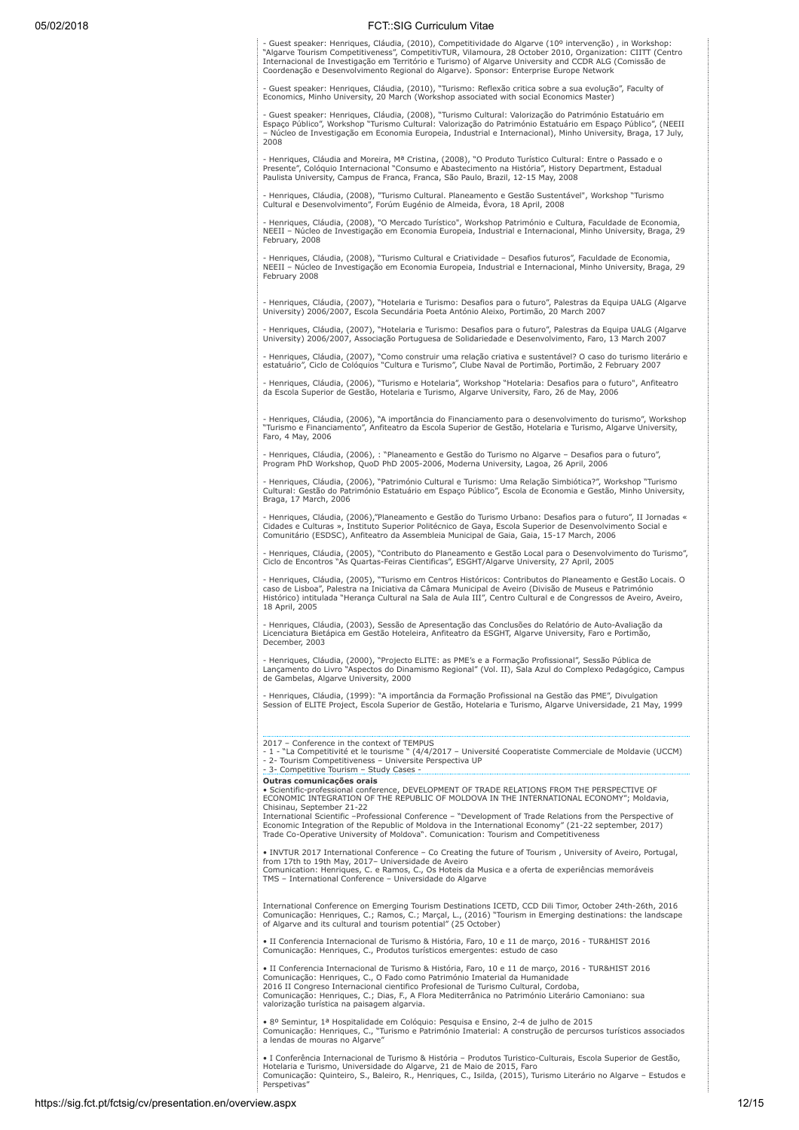- Guest speaker: Henriques, Cláudia, (2010), Competitividade do Algarve (10º intervenção) , in Workshop:<br>"Algarve Tourism Competitiveness", CompetitivTUR, Vilamoura, 28 October 2010, Organization: CIITT (Centro<br>Internacion Coordenação e Desenvolvimento Regional do Algarve). Sponsor: Enterprise Europe Network

- Guest speaker: Henriques, Cláudia, (2010), "Turismo: Reflexão critica sobre a sua evolução", Faculty of Economics, Minho University, 20 March (Workshop associated with social Economics Master)

- Guest speaker: Henriques, Cláudia, (2008), "Turismo Cultural: Valorização do Património Estatuário em<br>Espaço Público", Workshop "Turismo Cultural: Valorização do Património Estatuário em Espaço Público", (NEEII<br>– Núcleo 2008

- Henriques, Cláudia and Moreira, Mª Cristina, (2008), "O Produto Turístico Cultural: Entre o Passado e o<br>Presente", Colóquio Internacional "Consumo e Abastecimento na História", History Department, Estadual<br>Paulista Unive

- Henriques, Cláudia, (2008), "Turismo Cultural. Planeamento e Gestão Sustentável", Workshop "Turismo Cultural e Desenvolvimento", Forúm Eugénio de Almeida, Évora, 18 April, 2008

- Henriques, Cláudia, (2008), "O Mercado Turístico", Workshop Património e Cultura, Faculdade de Economia, NEEII – Núcleo de Investigação em Economia Europeia, Industrial e Internacional, Minho University, Braga, 29 February, 2008

- Henriques, Cláudia, (2008), "Turismo Cultural e Criatividade – Desafios futuros", Faculdade de Economia,<br>NEEII – Núcleo de Investigação em Economia Europeia, Industrial e Internacional, Minho University, Braga, 29<br>Februa

- Henriques, Cláudia, (2007), "Hotelaria e Turismo: Desafios para o futuro", Palestras da Equipa UALG (Algarve<br>University) 2006/2007, Escola Secundária Poeta António Aleixo, Portimão, 20 March 2007

- Henriques, Cláudia, (2007), "Hotelaria e Turismo: Desafios para o futuro", Palestras da Equipa UALG (Algarve University) 2006/2007, Associação Portuguesa de Solidariedade e Desenvolvimento, Faro, 13 March 2007

- Henriques, Cláudia, (2007), "Como construir uma relação criativa e sustentável? O caso do turismo literário e estatuário", Ciclo de Colóquios "Cultura e Turismo", Clube Naval de Portimão, Portimão, 2 February 2007

- Henriques, Cláudia, (2006), "Turismo e Hotelaria", Workshop "Hotelaria: Desafios para o futuro", Anfiteatro da Escola Superior de Gestão, Hotelaria e Turismo, Algarve University, Faro, 26 de May, 2006

- Henriques, Cláudia, (2006), "A importância do Financiamento para o desenvolvimento do turismo", Workshop "Turismo e Financiamento", Anfiteatro da Escola Superior de Gestão, Hotelaria e Turismo, Algarve University, Faro, 4 May, 2006

- Henriques, Cláudia, (2006), : "Planeamento e Gestão do Turismo no Algarve – Desafios para o futuro", Program PhD Workshop, QuoD PhD 2005-2006, Moderna University, Lagoa, 26 April, 2006

- Henriques, Cláudia, (2006), "Património Cultural e Turismo: Uma Relação Simbiótica?", Workshop "Turismo Cultural: Gestão do Património Estatuário em Espaço Público", Escola de Economia e Gestão, Minho University, Braga, 17 March, 2006

- Henriques, Cláudia, (2006),"Planeamento e Gestão do Turismo Urbano: Desafios para o futuro", II Jornadas «<br>Cidades e Culturas », Instituto Superior Politécnico de Gaya, Escola Superior de Desenvolvimento Social e<br>Comunit

- Henriques, Cláudia, (2005), "Contributo do Planeamento e Gestão Local para o Desenvolvimento do Turismo",<br>Ciclo de Encontros "As Quartas-Feiras Cientificas", ESGHT/Algarve University, 27 April, 2005

- Henriques, Cláudia, (2005), "Turismo em Centros Históricos: Contributos do Planeamento e Gestão Locais. O caso de Lisboa", Palestra na Iniciativa da Câmara Municipal de Aveiro (Divisão de Museus e Património Histórico) intitulada "Herança Cultural na Sala de Aula III", Centro Cultural e de Congressos de Aveiro, Aveiro, 18 April, 2005

- Henriques, Cláudia, (2003), Sessão de Apresentação das Conclusões do Relatório de Auto-Avaliação da Licenciatura Bietápica em Gestão Hoteleira, Anfiteatro da ESGHT, Algarve University, Faro e Portimão, December, 2003

- Henriques, Cláudia, (2000), "Projecto ELITE: as PME's e a Formação Profissional", Sessão Pública de<br>Lançamento do Livro "Aspectos do Dinamismo Regional" (Vol. II), Sala Azul do Complexo Pedagógico, Campus<br>de Gambelas, Al

- Henriques, Cláudia, (1999): "A importância da Formação Profissional na Gestão das PME", Divulgation Session of ELITE Project, Escola Superior de Gestão, Hotelaria e Turismo, Algarve Universidade, 21 May, 1999

2017 – Conference in the context of TEMPUS

- 1 - "La Competitivité et le tourisme " (4/4/2017 – Université Cooperatiste Commerciale de Moldavie (UCCM) - 2- Tourism Competitiveness – Universite Perspectiva UP

- 3- Competitive Tourism – Study Cases - Outras comunicações orais

• Scientific-professional conference, DEVELOPMENT OF TRADE RELATIONS FROM THE PERSPECTIVE OF ECONOMIC INTEGRATION OF THE REPUBLIC OF MOLDOVA IN THE INTERNATIONAL ECONOMY"; Moldavia, Chisinau, September 21-22

International Scientific –Professional Conference – "Development of Trade Relations from the Perspective of Economic Integration of the Republic of Moldova in the International Economy" (21-22 september, 2017) Trade Co-Operative University of Moldova". Comunication: Tourism and Competitiveness

• INVTUR 2017 International Conference – Co Creating the future of Tourism , University of Aveiro, Portugal, from 17th to 19th May, 2017– Universidade de Aveiro<br>Comunication: Henriques, C. e Ramos, C., Os Hoteis da Musica e a oferta de experiências memoráveis<br>TMS – International Conference – Universidade do Algarve

International Conference on Emerging Tourism Destinations ICETD, CCD Dili Timor, October 24th-26th, 2016<br>Comunicação: Henriques, C.; Ramos, C.; Marçal, L., (2016) "Tourism in Emerging destinations: the landscape<br>of Algarve

• II Conferencia Internacional de Turismo & História, Faro, 10 e 11 de março, 2016 - TUR&HIST 2016 Comunicação: Henriques, C., Produtos turísticos emergentes: estudo de caso

• II Conferencia Internacional de Turismo & História, Faro, 10 e 11 de março, 2016 - TUR&HIST 2016 Comunicação: Henriques, C., O Fado como Património Imaterial da Humanidade 2016 II Congreso Internacional cientifico Profesional de Turismo Cultural, Cordoba, Comunicação: Henriques, C.; Dias, F., A Flora Mediterrânica no Património Literário Camoniano: sua valorização turística na paisagem algarvia.

• 8º Semintur, 1ª Hospitalidade em Colóquio: Pesquisa e Ensino, 2-4 de julho de 2015 Comunicação: Henriques, C., "Turismo e Património Imaterial: A construção de percursos turísticos associados a lendas de mouras no Algarve"

• I Conferência Internacional de Turismo & História – Produtos Turistico-Culturais, Escola Superior de Gestão, Hotelaria e Turismo, Universidade do Algarve, 21 de Maio de 2015, Faro Comunicação: Quinteiro, S., Baleiro, R., Henriques, C., Isilda, (2015), Turismo Literário no Algarve – Estudos e Perspetivas"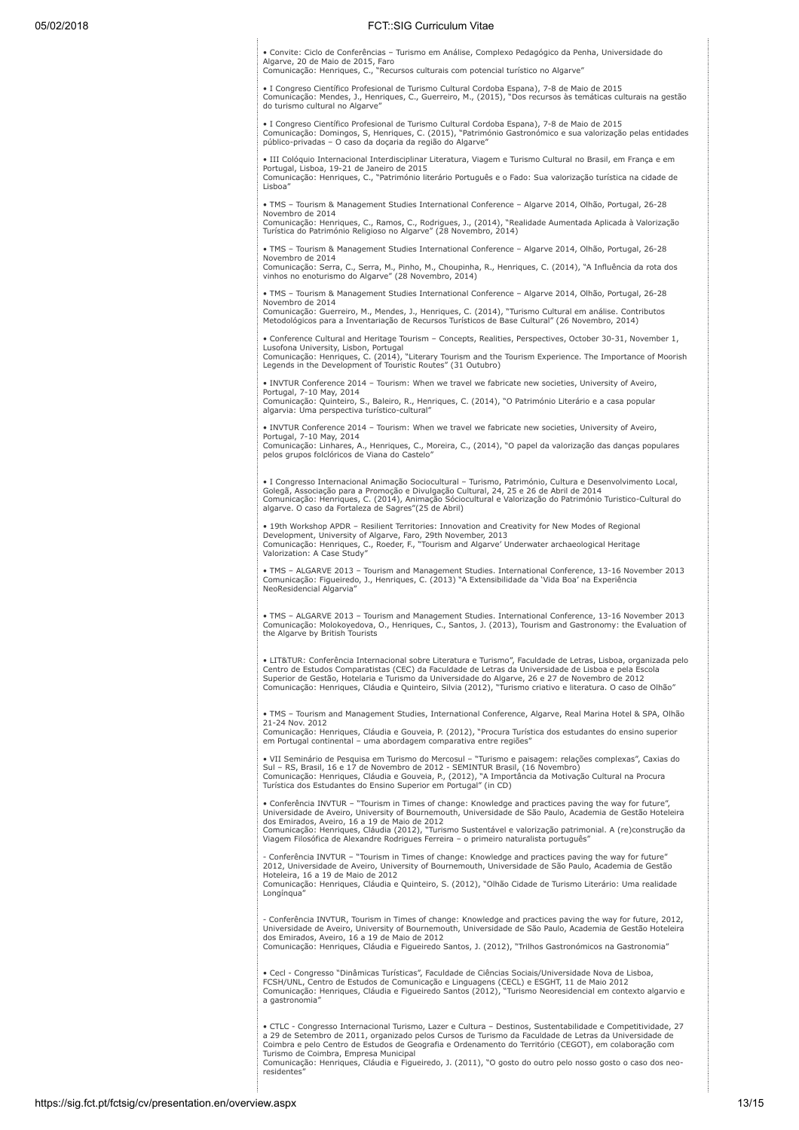• Convite: Ciclo de Conferências – Turismo em Análise, Complexo Pedagógico da Penha, Universidade do Algarve, 20 de Maio de 2015, Faro Comunicação: Henriques, C., "Recursos culturais com potencial turístico no Algarve"

• I Congreso Científico Profesional de Turismo Cultural Cordoba Espana), 7-8 de Maio de 2015<br>Comunicação: Mendes, J., Henriques, C., Guerreiro, M., (2015), "Dos recursos às temáticas culturais na gestão<br>do turismo cultural

• I Congreso Científico Profesional de Turismo Cultural Cordoba Espana), 7-8 de Maio de 2015 Comunicação: Domingos, S, Henriques, C. (2015), "Património Gastronómico e sua valorização pelas entidades público-privadas – O caso da doçaria da região do Algarve"

• III Colóquio Internacional Interdisciplinar Literatura, Viagem e Turismo Cultural no Brasil, em França e em Portugal, Lisboa, 19-21 de Janeiro de 2015 Comunicação: Henriques, C., "Património literário Português e o Fado: Sua valorização turística na cidade de Lisboa"

• TMS – Tourism & Management Studies International Conference – Algarve 2014, Olhão, Portugal, 26-28 Novembro de 2014

Comunicação: Henriques, C., Ramos, C., Rodrigues, J., (2014), "Realidade Aumentada Aplicada à Valorização<br>Turística do Património Religioso no Algarve" (28 Novembro, 2014)

• TMS – Tourism & Management Studies International Conference – Algarve 2014, Olhão, Portugal, 26-28 Novembro de 2014 Comunicação: Serra, C., Serra, M., Pinho, M., Choupinha, R., Henriques, C. (2014), "A Influência da rota dos vinhos no enoturismo do Algarve" (28 Novembro, 2014)

• TMS – Tourism & Management Studies International Conference – Algarve 2014, Olhão, Portugal, 26-28 Novembro de 2014

Comunicação: Guerreiro, M., Mendes, J., Henriques, C. (2014), "Turismo Cultural em análise. Contributos Metodológicos para a Inventariação de Recursos Turísticos de Base Cultural" (26 Novembro, 2014)

• Conference Cultural and Heritage Tourism – Concepts, Realities, Perspectives, October 30-31, November 1, Lusofona University, Lisbon, Portugal<br>Comunicação: Henriques, C. (2014), "Literary Tourism and the Tourism Experience. The Importance of Moorish<br>Legends in the Development of Touristic Routes" (31 Outubro)

• INVTUR Conference 2014 – Tourism: When we travel we fabricate new societies, University of Aveiro,<br>Portugal, 7-10 May, 2014<br>Comunicação: Quinteiro, S., Baleiro, R., Henriques, C. (2014), "O Património Literário e a casa

• INVTUR Conference 2014 – Tourism: When we travel we fabricate new societies, University of Aveiro,

Portugal, 7-10 May, 2014 Comunicação: Linhares, A., Henriques, C., Moreira, C., (2014), "O papel da valorização das danças populares pelos grupos folclóricos de Viana do Castelo"

• I Congresso Internacional Animação Sociocultural – Turismo, Património, Cultura e Desenvolvimento Local, Golegã, Associação para a Promoção e Divulgação Cultural, 24, 25 e 26 de Abril de 2014 Comunicação: Henriques, C. (2014), Animação Sóciocultural e Valorização do Património Turistico-Cultural do algarve. O caso da Fortaleza de Sagres"(25 de Abril)

• 19th Workshop APDR – Resilient Territories: Innovation and Creativity for New Modes of Regional<br>Development, University of Algarve, Faro, 29th November, 2013<br>Comunicação: Henriques, C., Roeder, F., "Tourism and Algarve'

• TMS – ALGARVE 2013 – Tourism and Management Studies. International Conference, 13-16 November 2013 Comunicação: Figueiredo, J., Henriques, C. (2013) "A Extensibilidade da 'Vida Boa' na Experiência NeoResidencial Algarvia"

• TMS – ALGARVE 2013 – Tourism and Management Studies. International Conference, 13-16 November 2013 Comunicação: Molokoyedova, O., Henriques, C., Santos, J. (2013), Tourism and Gastronomy: the Evaluation of the Algarve by British Tourists

• LIT&TUR: Conferência Internacional sobre Literatura e Turismo", Faculdade de Letras, Lisboa, organizada pelo Centro de Estudos Comparatistas (CEC) da Faculdade de Letras da Universidade de Lisboa e pela Escola<br>Superior de Gestão, Hotelaria e Turismo da Universidade do Algarve, 26 e 27 de Novembro de 2012<br>Comunicação: Henriques, C

• TMS – Tourism and Management Studies, International Conference, Algarve, Real Marina Hotel & SPA, Olhão 21-24 Nov. 2012

Comunicação: Henriques, Cláudia e Gouveia, P. (2012), "Procura Turística dos estudantes do ensino superior em Portugal continental – uma abordagem comparativa entre regiões"

• VII Seminário de Pesquisa em Turismo do Mercosul – "Turismo e paisagem: relações complexas", Caxias do<br>Sul – RS, Brasil, 16 e 17 de Novembro de 2012 - SEMINTUR Brasil, (16 Novembro)<br>Comunicação: Henriques, Cláudia e Gouv

• Conferência INVTUR – "Tourism in Times of change: Knowledge and practices paving the way for future", Universidade de Aveiro, University of Bournemouth, Universidade de São Paulo, Academia de Gestão Hoteleira dos Emirados, Aveiro, 16 a 19 de Maio de 2012

Comunicação: Henriques, Cláudia (2012), "Turismo Sustentável e valorização patrimonial. A (re)construção da<br>Viagem Filosófica de Alexandre Rodrigues Ferreira – o primeiro naturalista português"

- Conferência INVTUR – "Tourism in Times of change: Knowledge and practices paving the way for future"<br>2012, Universidade de Aveiro, University of Bournemouth, Universidade de São Paulo, Academia de Gestão<br>Hoteleira, 16 a Comunicação: Henriques, Cláudia e Quinteiro, S. (2012), "Olhão Cidade de Turismo Literário: Uma realidade Longínqua"

- Conferência INVTUR, Tourism in Times of change: Knowledge and practices paving the way for future, 2012,

Universidade de Aveiro, University of Bournemouth, Universidade de São Paulo, Academia de Gestão Hoteleira<br>dos Emirados, Aveiro, 16 a 19 de Maio de 2012<br>Comunicação: Henriques, Cláudia e Figueiredo Santos, J. (2012), "Tril

• Cecl - Congresso "Dinâmicas Turísticas", Faculdade de Ciências Sociais/Universidade Nova de Lisboa,<br>FCSH/UNL, Centro de Estudos de Comunicação e Linguagens (CECL) e ESGHT, 11 de Maio 2012<br>Comunicação: Henriques, Cláudia a gastronomia"

• CTLC - Congresso Internacional Turismo, Lazer e Cultura – Destinos, Sustentabilidade e Competitividade, 27 a 29 de Setembro de 2011, organizado pelos Cursos de Turismo da Faculdade de Letras da Universidade de Coimbra e pelo Centro de Estudos de Geografia e Ordenamento do Território (CEGOT), em colaboração com Turismo de Coimbra, Empresa Municipal Comunicação: Henriques, Cláudia e Figueiredo, J. (2011), "O gosto do outro pelo nosso gosto o caso dos neo-

residentes"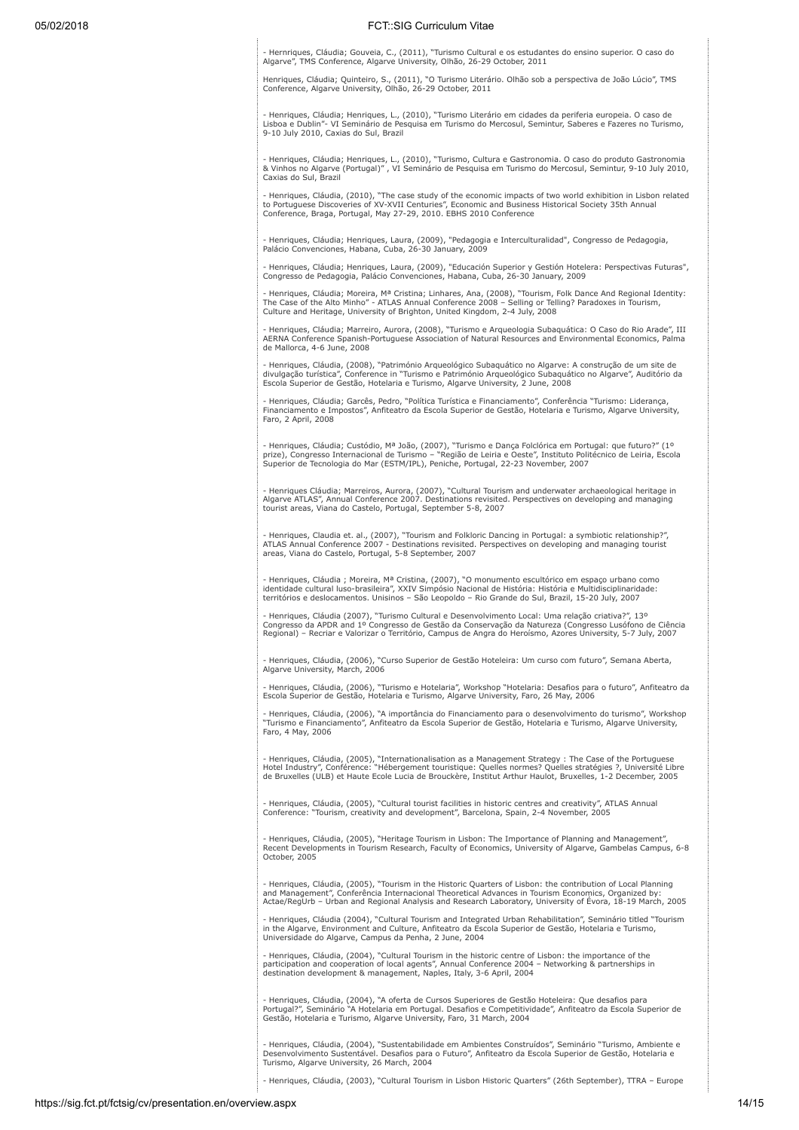- Hernriques, Cláudia; Gouveia, C., (2011), "Turismo Cultural e os estudantes do ensino superior. O caso do Algarve", TMS Conference, Algarve University, Olhão, 26-29 October, 2011

Henriques, Cláudia; Quinteiro, S., (2011), "O Turismo Literário. Olhão sob a perspectiva de João Lúcio", TMS<br>Conference, Algarve University, Olhão, 26-29 October, 2011

- Henriques, Cláudia; Henriques, L., (2010), "Turismo Literário em cidades da periferia europeia. O caso de Lisboa e Dublin"- VI Seminário de Pesquisa em Turismo do Mercosul, Semintur, Saberes e Fazeres no Turismo, 9-10 July 2010, Caxias do Sul, Brazil

- Henriques, Cláudia; Henriques, L., (2010), "Turismo, Cultura e Gastronomia. O caso do produto Gastronomia<br>& Vinhos no Algarve (Portugal)" , VI Seminário de Pesquisa em Turismo do Mercosul, Semintur, 9-10 July 2010,<br>Caxia

- Henriques, Cláudia, (2010), "The case study of the economic impacts of two world exhibition in Lisbon related<br>to Portuguese Discoveries of XV-XVII Centuries", Economic and Business Historical Society 35th Annual<br>Conferen

- Henriques, Cláudia; Henriques, Laura, (2009), "Pedagogia e Interculturalidad", Congresso de Pedagogia, Palácio Convenciones, Habana, Cuba, 26-30 January, 2009

- Henriques, Cláudia; Henriques, Laura, (2009), "Educación Superior y Gestión Hotelera: Perspectivas Futuras", Congresso de Pedagogia, Palácio Convenciones, Habana, Cuba, 26-30 January, 2009

- Henriques, Cláudia; Moreira, Mª Cristina; Linhares, Ana, (2008), "Tourism, Folk Dance And Regional Identity:<br>The Case of the Alto Minho" - ATLAS Annual Conference 2008 – Selling or Telling? Paradoxes in Tourism,<br>Culture

- Henriques, Cláudia; Marreiro, Aurora, (2008), "Turismo e Arqueologia Subaquática: O Caso do Rio Arade", III<br>AERNA Conference Spanish-Portuguese Association of Natural Resources and Environmental Economics, Palma<br>de Mallo

- Henriques, Cláudia, (2008), "Património Arqueológico Subaquático no Algarve: A construção de um site de divulgação turística", Conference in "Turismo e Património Arqueológico Subaquático no Algarve", Auditório da Escola Superior de Gestão, Hotelaria e Turismo, Algarve University, 2 June, 2008

- Henriques, Cláudia; Garcês, Pedro, "Política Turística e Financiamento", Conferência "Turismo: Liderança,<br>Financiamento e Impostos", Anfiteatro da Escola Superior de Gestão, Hotelaria e Turismo, Algarve University,<br>Faro,

- Henriques, Cláudia; Custódio, Mª João, (2007), "Turismo e Dança Folclórica em Portugal: que futuro?" (1º prize), Congresso Internacional de Turismo – "Região de Leiria e Oeste", Instituto Politécnico de Leiria, Escola<br>Superior de Tecnologia do Mar (ESTM/IPL), Peniche, Portugal, 22-23 November, 2007

- Henriques Cláudia; Marreiros, Aurora, (2007), "Cultural Tourism and underwater archaeological heritage in<br>Algarve ATLAS", Annual Conference 2007. Destinations revisited. Perspectives on developing and managing<br>tourist ar

- Henriques, Claudia et. al., (2007), "Tourism and Folkloric Dancing in Portugal: a symbiotic relationship?",<br>ATLAS Annual Conference 2007 - Destinations revisited. Perspectives on developing and managing tourist<br>areas, Vi

- Henriques, Cláudia ; Moreira, Mª Cristina, (2007), "O monumento escultórico em espaço urbano como<br>identidade cultural luso-brasileira", XXIV Simpósio Nacional de História: História e Multidisciplinaridade: territórios e deslocamentos. Unisinos – São Leopoldo – Rio Grande do Sul, Brazil, 15-20 July, 2007

- Henriques, Cláudia (2007), "Turismo Cultural e Desenvolvimento Local: Uma relação criativa?", 13º<br>Congresso da APDR and 1º Congresso de Gestão da Conservação da Natureza (Congresso Lusófono de Ciência<br>Regional) – Recriar

- Henriques, Cláudia, (2006), "Curso Superior de Gestão Hoteleira: Um curso com futuro", Semana Aberta, Algarve University, March, 2006

- Henriques, Cláudia, (2006), "Turismo e Hotelaria", Workshop "Hotelaria: Desafios para o futuro", Anfiteatro da<br>Escola Superior de Gestão, Hotelaria e Turismo, Algarve University, Faro, 26 May, 2006

- Henriques, Cláudia, (2006), "A importância do Financiamento para o desenvolvimento do turismo", Workshop<br>"Turismo e Financiamento", Anfiteatro da Escola Superior de Gestão, Hotelaria e Turismo, Algarve University,<br>Faro,

- Henriques, Cláudia, (2005), "Internationalisation as a Management Strategy : The Case of the Portuguese<br>Hotel Industry", Conférence: "Hébergement touristique: Quelles normes? Quelles stratégies ?, Université Libre<br>de Bru

- Henriques, Cláudia, (2005), "Cultural tourist facilities in historic centres and creativity", ATLAS Annual Conference: "Tourism, creativity and development", Barcelona, Spain, 2-4 November, 2005

- Henriques, Cláudia, (2005), "Heritage Tourism in Lisbon: The Importance of Planning and Management", Recent Developments in Tourism Research, Faculty of Economics, University of Algarve, Gambelas Campus, 6-8 October, 2005

- Henriques, Cláudia, (2005), "Tourism in the Historic Quarters of Lisbon: the contribution of Local Planning and Management", Conferência Internacional Theoretical Advances in Tourism Economics, Organized by: Actae/RegUrb – Urban and Regional Analysis and Research Laboratory, University of Évora, 18-19 March, 2005

- Henriques, Cláudia (2004), "Cultural Tourism and Integrated Urban Rehabilitation", Seminário titled "Tourism in the Algarve, Environment and Culture, Anfiteatro da Escola Superior de Gestão, Hotelaria e Turismo, Universidade do Algarve, Campus da Penha, 2 June, 2004

- Henriques, Cláudia, (2004), "Cultural Tourism in the historic centre of Lisbon: the importance of the<br>participation and cooperation of local agents", Annual Conference 2004 – Networking & partnerships in<br>destination deve

- Henriques, Cláudia, (2004), "A oferta de Cursos Superiores de Gestão Hoteleira: Que desafios para<br>Portugal?", Seminário "A Hotelaria em Portugal. Desafios e Competitividade", Anfiteatro da Escola Superior de<br>Gestão, Hote

- Henriques, Cláudia, (2004), "Sustentabilidade em Ambientes Construídos", Seminário "Turismo, Ambiente e<br>Desenvolvimento Sustentável. Desafios para o Futuro", Anfiteatro da Escola Superior de Gestão, Hotelaria e<br>Turismo,

- Henriques, Cláudia, (2003), "Cultural Tourism in Lisbon Historic Quarters" (26th September), TTRA – Europe